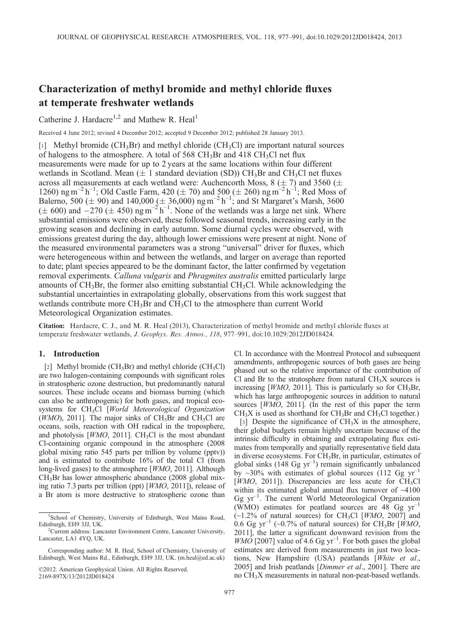# Characterization of methyl bromide and methyl chloride fluxes at temperate freshwater wetlands

Catherine J. Hardacre<sup>1,2</sup> and Mathew R. Heal<sup>1</sup>

Received 4 June 2012; revised 4 December 2012; accepted 9 December 2012; published 28 January 2013.

[1] Methyl bromide  $(CH_3Br)$  and methyl chloride  $(CH_3Cl)$  are important natural sources of halogens to the atmosphere. A total of 568 CH<sub>3</sub>Br and 418 CH<sub>3</sub>Cl net flux measurements were made for up to 2 years at the same locations within four different wetlands in Scotland. Mean ( $\pm$  1 standard deviation (SD)) CH<sub>3</sub>Br and CH<sub>3</sub>Cl net fluxes across all measurements at each wetland were: Auchencorth Moss,  $8 (\pm 7)$  and 3560 ( $\pm$ 1260) ng m<sup>-2</sup> h<sup>-1</sup>; Old Castle Farm, 420 ( $\pm$  70) and 500 ( $\pm$  260) ng m<sup>-2</sup> h<sup>-1</sup>; Red Moss of Balerno, 500 ( $\pm$  90) and 140,000 ( $\pm$  36,000) ng m<sup>-2</sup> h<sup>-1</sup>; and St Margaret's Marsh, 3600  $(\pm 600)$  and  $-270 (\pm 450)$  ng m<sup>-2</sup> h<sup>-1</sup>. None of the wetlands was a large net sink. Where substantial emissions were observed, these followed seasonal trends, increasing early in the growing season and declining in early autumn. Some diurnal cycles were observed, with emissions greatest during the day, although lower emissions were present at night. None of the measured environmental parameters was a strong "universal" driver for fluxes, which were heterogeneous within and between the wetlands, and larger on average than reported to date; plant species appeared to be the dominant factor, the latter confirmed by vegetation removal experiments. Calluna vulgaris and Phragmites australis emitted particularly large amounts of  $CH_3Br$ , the former also emitting substantial  $CH_3Cl$ . While acknowledging the substantial uncertainties in extrapolating globally, observations from this work suggest that wetlands contribute more CH<sub>3</sub>Br and CH<sub>3</sub>Cl to the atmosphere than current World Meteorological Organization estimates.

Citation: Hardacre, C. J., and M. R. Heal (2013), Characterization of methyl bromide and methyl chloride fluxes at temperate freshwater wetlands, J. Geophys. Res. Atmos., 118, 977–991, doi:10.1029/2012JD018424.

### 1. Introduction

[2] Methyl bromide (CH<sub>3</sub>Br) and methyl chloride (CH<sub>3</sub>Cl) are two halogen-containing compounds with significant roles in stratospheric ozone destruction, but predominantly natural sources. These include oceans and biomass burning (which can also be anthropogenic) for both gases, and tropical ecosystems for CH<sub>3</sub>Cl [World Meteorological Organization  $(WMO)$ , 2011]. The major sinks of CH<sub>3</sub>Br and CH<sub>3</sub>Cl are oceans, soils, reaction with OH radical in the troposphere, and photolysis [ $WMO$ , 2011]. CH<sub>3</sub>Cl is the most abundant Cl-containing organic compound in the atmosphere (2008 global mixing ratio 545 parts per trillion by volume (pptv)) and is estimated to contribute 16% of the total Cl (from long-lived gases) to the atmosphere [*WMO*, 2011]. Although CH3Br has lower atmospheric abundance (2008 global mixing ratio 7.3 parts per trillion (ppt) [WMO, 2011]), release of a Br atom is more destructive to stratospheric ozone than

©2012. American Geophysical Union. All Rights Reserved. 2169-897X/13/2012JD018424

Cl. In accordance with the Montreal Protocol and subsequent amendments, anthropogenic sources of both gases are being phased out so the relative importance of the contribution of Cl and Br to the stratosphere from natural  $CH<sub>3</sub>X$  sources is increasing  $[WMO, 2011]$ . This is particularly so for CH<sub>3</sub>Br, which has large anthropogenic sources in addition to natural sources [WMO, 2011]. (In the rest of this paper the term  $CH<sub>3</sub>X$  is used as shorthand for  $CH<sub>3</sub>Br$  and  $CH<sub>3</sub>Cl$  together.)

[3] Despite the significance of  $CH<sub>3</sub>X$  in the atmosphere, their global budgets remain highly uncertain because of the intrinsic difficulty in obtaining and extrapolating flux estimates from temporally and spatially representative field data in diverse ecosystems. For CH<sub>3</sub>Br, in particular, estimates of global sinks  $(148 \text{ Gg yr}^{-1})$  remain significantly unbalanced by ~30% with estimates of global sources (112 Gg  $yr^{-1}$ ) [ $WMO$ , 2011]). Discrepancies are less acute for CH<sub>3</sub>Cl within its estimated global annual flux turnover of  $~100$ Gg yr–<sup>1</sup> . The current World Meteorological Organization (WMO) estimates for peatland sources are 48 Gg  $yr^{-1}$  $(\sim 1.2\%$  of natural sources) for CH<sub>3</sub>Cl [WMO, 2007] and 0.6 Gg yr<sup>-1</sup> (~0.7% of natural sources) for CH<sub>3</sub>Br [WMO, 2011], the latter a significant downward revision from the  $WMO$  [2007] value of 4.6 Gg yr<sup>-1</sup>. For both gases the global estimates are derived from measurements in just two locations, New Hampshire (USA) peatlands [White et al., 2005] and Irish peatlands [*Dimmer et al.*, 2001]. There are no  $CH<sub>3</sub>X$  measurements in natural non-peat-based wetlands.

<sup>1</sup> School of Chemistry, University of Edinburgh, West Mains Road, Edinburgh, EH9 3JJ, UK. <sup>2</sup>

<sup>&</sup>lt;sup>2</sup>Current address: Lancaster Environment Centre, Lancaster University, Lancaster, LA1 4YQ, UK.

Corresponding author: M. R. Heal, School of Chemistry, University of Edinburgh, West Mains Rd., Edinburgh, EH9 3JJ, UK. (m.heal@ed.ac.uk)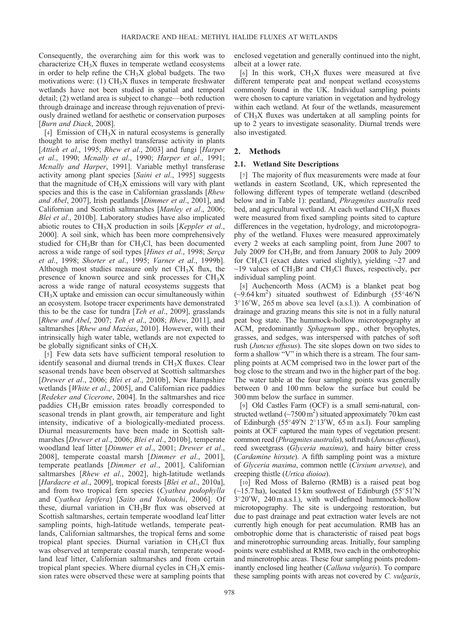Consequently, the overarching aim for this work was to characterize  $CH<sub>3</sub>X$  fluxes in temperate wetland ecosystems in order to help refine the  $CH<sub>3</sub>X$  global budgets. The two motivations were: (1)  $CH<sub>3</sub>X$  fluxes in temperate freshwater wetlands have not been studied in spatial and temporal detail; (2) wetland area is subject to change—both reduction through drainage and increase through rejuvenation of previously drained wetland for aesthetic or conservation purposes [Burn and Diack, 2008].

[4] Emission of  $CH<sub>3</sub>X$  in natural ecosystems is generally thought to arise from methyl transferase activity in plants [Attieh et al., 1995; Rhew et al., 2003] and fungi [Harper] et al., 1990; Mcnally et al., 1990; Harper et al., 1991; Mcnally and Harper, 1991]. Variable methyl transferase activity among plant species [Saini et al., 1995] suggests that the magnitude of  $CH<sub>3</sub>X$  emissions will vary with plant species and this is the case in Californian grasslands [Rhew] and Abel, 2007], Irish peatlands [Dimmer et al., 2001], and Californian and Scottish saltmarshes [Manley et al., 2006; Blei et al., 2010b]. Laboratory studies have also implicated abiotic routes to  $CH_3X$  production in soils [Keppler et al., 2000]. A soil sink, which has been more comprehensively studied for  $CH<sub>3</sub>Br$  than for  $CH<sub>3</sub>Cl$ , has been documented across a wide range of soil types [Hines et al., 1998; Serça et al., 1998; Shorter et al., 1995; Varner et al., 1999b]. Although most studies measure only net  $CH<sub>3</sub>X$  flux, the presence of known source and sink processes for  $CH_3X$ across a wide range of natural ecosystems suggests that  $CH<sub>3</sub>X$  uptake and emission can occur simultaneously within an ecosystem. Isotope tracer experiments have demonstrated this to be the case for tundra  $[Teh et al., 2009]$ , grasslands [Rhew and Abel, 2007; Teh et al., 2008; Rhew, 2011], and saltmarshes [Rhew and Mazéas, 2010]. However, with their intrinsically high water table, wetlands are not expected to be globally significant sinks of  $CH<sub>3</sub>X$ .

[5] Few data sets have sufficient temporal resolution to identify seasonal and diurnal trends in  $CH<sub>3</sub>X$  fluxes. Clear seasonal trends have been observed at Scottish saltmarshes [Drewer et al., 2006; Blei et al., 2010b], New Hampshire wetlands [White et al., 2005], and Californian rice paddies [Redeker and Cicerone, 2004]. In the saltmarshes and rice paddies CH<sub>3</sub>Br emission rates broadly corresponded to seasonal trends in plant growth, air temperature and light intensity, indicative of a biologically-mediated process. Diurnal measurements have been made in Scottish saltmarshes [Drewer et al., 2006; Blei et al., 2010b], temperate woodland leaf litter [Dimmer et al., 2001; Drewer et al., 2008], temperate coastal marsh [Dimmer et al., 2001], temperate peatlands [Dimmer et al., 2001], Californian saltmarshes [Rhew et al., 2002], high-latitude wetlands [Hardacre et al., 2009], tropical forests [Blei et al., 2010a], and from two tropical fern species (Cyathea podophylla and Cyathea lepifera) [Saito and Yokouchi, 2006]. Of these, diurnal variation in  $CH<sub>3</sub>Br$  flux was observed at Scottish saltmarshes, certain temperate woodland leaf litter sampling points, high-latitude wetlands, temperate peatlands, Californian saltmarshes, the tropical ferns and some tropical plant species. Diurnal variation in  $CH<sub>3</sub>Cl$  flux was observed at temperate coastal marsh, temperate woodland leaf litter, Californian saltmarshes and from certain tropical plant species. Where diurnal cycles in  $CH<sub>3</sub>X$  emission rates were observed these were at sampling points that enclosed vegetation and generally continued into the night, albeit at a lower rate.

[6] In this work,  $CH_3X$  fluxes were measured at five different temperate peat and nonpeat wetland ecosystems commonly found in the UK. Individual sampling points were chosen to capture variation in vegetation and hydrology within each wetland. At four of the wetlands, measurement of CH3X fluxes was undertaken at all sampling points for up to 2 years to investigate seasonality. Diurnal trends were also investigated.

## 2. Methods

#### 2.1. Wetland Site Descriptions

[7] The majority of flux measurements were made at four wetlands in eastern Scotland, UK, which represented the following different types of temperate wetland (described below and in Table 1): peatland, *Phragmites australis* reed bed, and agricultural wetland. At each wetland  $CH<sub>3</sub>X$  fluxes were measured from fixed sampling points sited to capture differences in the vegetation, hydrology, and microtopography of the wetland. Fluxes were measured approximately every 2 weeks at each sampling point, from June 2007 to July 2009 for CH3Br, and from January 2008 to July 2009 for CH<sub>3</sub>Cl (exact dates varied slightly), yielding  $\sim$ 27 and  $\sim$ 19 values of CH<sub>3</sub>Br and CH<sub>3</sub>Cl fluxes, respectively, per individual sampling point.

[8] Auchencorth Moss (ACM) is a blanket peat bog  $(\sim 9.64 \text{ km}^2)$  situated southwest of Edinburgh  $(55^\circ 46'\text{N})$  $3^{\circ}16'$ W, 265 m above sea level (a.s.l.)). A combination of drainage and grazing means this site is not in a fully natural peat bog state. The hummock-hollow microtopography at ACM, predominantly Sphagnum spp., other bryophytes, grasses, and sedges, was interspersed with patches of soft rush (Juncus effusus). The site slopes down on two sides to form a shallow "V" in which there is a stream. The four sampling points at ACM comprised two in the lower part of the bog close to the stream and two in the higher part of the bog. The water table at the four sampling points was generally between 0 and 100 mm below the surface but could be 300 mm below the surface in summer.

[9] Old Castles Farm (OCF) is a small semi-natural, constructed wetland  $({\sim}7500\,\text{m}^2)$  situated approximately 70 km east of Edinburgh  $(55^{\circ}49'N 2^{\circ}13'W, 65m$  a.s.l). Four sampling points at OCF captured the main types of vegetation present: common reed (Phragmites australis), soft rush (Juncus effusus), reed sweetgrass (Glyceria maxima), and hairy bitter cress (Cardamine hirsute). A fifth sampling point was a mixture of Glyceria maxima, common nettle (Cirsium arvense), and creeping thistle (Urtica dioioa).

[10] Red Moss of Balerno (RMB) is a raised peat bog  $(\sim] 5.7$  ha), located 15 km southwest of Edinburgh (55 $\degree$ 51'N  $3^{\circ}20'$ W,  $240$  m a.s.l.), with well-defined hummock-hollow microtopography. The site is undergoing restoration, but due to past drainage and peat extraction water levels are not currently high enough for peat accumulation. RMB has an ombotrophic dome that is characteristic of raised peat bogs and minerotrophic surrounding areas. Initially, four sampling points were established at RMB, two each in the ombotrophic and minerotrophic areas. These four sampling points predominantly enclosed ling heather (Calluna vulgaris). To compare these sampling points with areas not covered by C. vulgaris,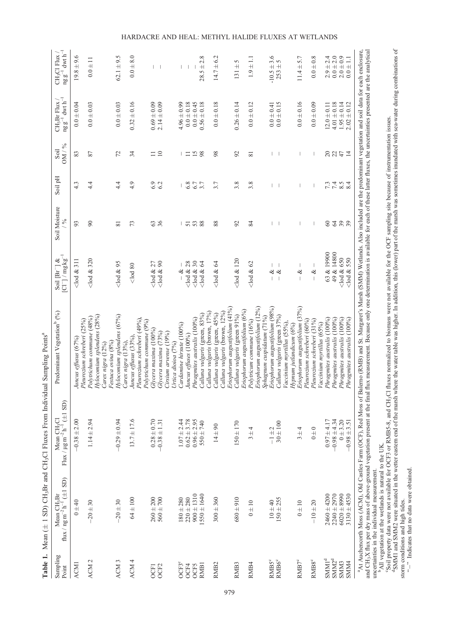|                                       |                                                                 | Table 1. Mean $(\pm 1$ SD) CH <sub>3</sub> Br and CH <sub>3</sub> Cl Fluxes From Individual Sampling Points <sup>a</sup> |                                                                                                                                                                                                                                                                                                                                                                                                                                                            |                                                                        |                        |                   |                  |                                                     |                                                            |
|---------------------------------------|-----------------------------------------------------------------|--------------------------------------------------------------------------------------------------------------------------|------------------------------------------------------------------------------------------------------------------------------------------------------------------------------------------------------------------------------------------------------------------------------------------------------------------------------------------------------------------------------------------------------------------------------------------------------------|------------------------------------------------------------------------|------------------------|-------------------|------------------|-----------------------------------------------------|------------------------------------------------------------|
| Sampling<br>Point                     | flux / $ng m^{-2} h^{-1} (\pm 1 SD)$<br>Mean CH <sub>3</sub> Br | $\overline{\text{SD}}$<br>Flux / $\mu g\,m^{-2}\,h^{-1}$ ( $\pm 1$<br>Mean CH <sub>3</sub> C                             | Predominant Vegetation <sup>b</sup> (%)                                                                                                                                                                                                                                                                                                                                                                                                                    | [ $CI^-$ ] / $mgkg^{-1}$<br>Soil $Br^-$ ] $\&$                         | Soil Moisture<br>/ 0.6 | Soil pH           | OM / %<br>Soil   | $ng g^{-1}$ dwt $h^{-1}$<br>CH <sub>3</sub> Br Flux | $ng g^{-1}$ dwt h <sup>-1</sup><br>CH <sub>3</sub> Cl Flux |
| ACM1                                  | $0 + 40$                                                        | $-0.38 \pm 2.00$                                                                                                         | Pleurozium schreberi (25%)<br>Juncus effusus (67%)                                                                                                                                                                                                                                                                                                                                                                                                         | $<$ lod & 311                                                          | 93                     | 4.3               | 83               | $0.0 \pm 0.04$                                      | $19.8 \pm 9.6$                                             |
| ACM <sub>2</sub>                      | $-20 \pm 30$                                                    | $1.14 \pm 2.94$                                                                                                          | Hylocomium splendens (28%)<br>Polytrichum commune (48%)<br>Festuca ovina (8%)<br>Carex nigra (12%)                                                                                                                                                                                                                                                                                                                                                         | $<$ lod & 320                                                          | 90                     | 4.4               | 87               | $0.0 \pm 0.03$                                      | $0.0 \pm 11$                                               |
| ACM <sub>3</sub>                      | $-20 \pm 30$                                                    | $-0.29 \pm 0.94$                                                                                                         | Hylocomium splendens (67%)<br>Carex nigra (13%),                                                                                                                                                                                                                                                                                                                                                                                                           | $<$ lod & 95                                                           | $\overline{81}$        | 4.4               | 72               | $0.0 \pm 0.03$                                      | $62.1 \pm 9.5$                                             |
| ACM <sub>4</sub>                      | $64 \pm 100$                                                    | $13.7 \pm 17.6$                                                                                                          | Pleurozium schreberi (49%)<br>Polytrichum commune (9%)<br>Iuncus effusus (33%).                                                                                                                                                                                                                                                                                                                                                                            | $<$ lod $80\,$                                                         | 73                     | 4.9               | 34               | $0.32 \pm 0.16$                                     | $0.0 + 8.0$                                                |
| <b>OCF1</b>                           | $260 \pm 200$                                                   | $0.28 \pm 0.70$                                                                                                          | Glycera maxima (100%)                                                                                                                                                                                                                                                                                                                                                                                                                                      | 27<br>$\langle$ lod &                                                  | $rac{36}{5}$           | 6.9               | $\frac{1}{10}$   | $0.69 \pm 0.09$                                     |                                                            |
| OCF <sub>2</sub>                      | $560 \pm 700$                                                   | $-0.38 \pm 1.31$                                                                                                         | Glycera maxima (73%)                                                                                                                                                                                                                                                                                                                                                                                                                                       | $\triangle$ 20 $\&$ 90                                                 |                        | 6.2               |                  | $2.14 \pm 0.09$                                     |                                                            |
|                                       |                                                                 |                                                                                                                          | Cirsium arvense $(19\%)$<br>Urtica dioioa (7%)                                                                                                                                                                                                                                                                                                                                                                                                             |                                                                        |                        |                   |                  |                                                     |                                                            |
| OCF3°                                 | $180 \pm 280$                                                   | $1.07 \pm 2.44$                                                                                                          | Cardamine hirsute (100%)                                                                                                                                                                                                                                                                                                                                                                                                                                   | ళ                                                                      |                        |                   |                  | $4.96 \pm 0.99$                                     |                                                            |
| OCF4                                  | $220 \pm 280$                                                   | $\begin{array}{c} 0.62 \pm 3.78 \\ 0.96 \pm 2.95 \end{array}$                                                            | luncus effuses (100%)                                                                                                                                                                                                                                                                                                                                                                                                                                      | $<$ lod & 28                                                           | 51                     | 6.8               | $\Box$           | $0.0 + 0.18$                                        |                                                            |
| <b>OCF5</b>                           | $900 \pm 1310$                                                  |                                                                                                                          | Phragmites australis (100%)                                                                                                                                                                                                                                                                                                                                                                                                                                | $<$ lod & 30                                                           | 53                     | 6.7               | 15 <sub>98</sub> | $0.0 \pm 0.45$                                      |                                                            |
| RMB <sub>1</sub>                      | $550 \pm 1640$                                                  | $550 \pm 740$                                                                                                            | Calluna vulgaris (brown, 17%)<br>Calluna vulgaris (green, 83%)                                                                                                                                                                                                                                                                                                                                                                                             | $\mathcal{L}$<br>$\langle$ lod & t                                     |                        | 3.7               |                  | $0.56 \pm 0.18$                                     | $28.5 \pm 2.8$                                             |
| RMB <sub>2</sub>                      | $300 \pm 360$                                                   | $14 + 90$                                                                                                                | Calluna vulgaris (green, 45%)                                                                                                                                                                                                                                                                                                                                                                                                                              | 64<br>$\leq$ lod &                                                     | 88                     | 3.7               | 98               | $0.0 + 0.18$                                        | $14.7 \pm 6.2$                                             |
|                                       |                                                                 |                                                                                                                          | Eriophorum augustifolium (41%)<br>Calluna vulgaris (brown, 12%)                                                                                                                                                                                                                                                                                                                                                                                            |                                                                        |                        |                   |                  |                                                     |                                                            |
| RMB3                                  | $680 \pm 910$                                                   | $150 \pm 170$                                                                                                            | Calluna vulgaris (green 91%)                                                                                                                                                                                                                                                                                                                                                                                                                               | $<$ lod & 120                                                          | 92                     | 3.8               | 92               | $0.26 \pm 0.14$                                     | $131 \pm 5$                                                |
| RMB4                                  | $0 \pm 10$                                                      | $3 \pm 4$                                                                                                                | Eriophorum augustifolium (6%)<br>Polytricum commune (16%)                                                                                                                                                                                                                                                                                                                                                                                                  | 62<br>$\leq$ lod &                                                     | 84                     | 3.8               | $\overline{81}$  | $0.0 + 0.12$                                        | $1.9 \pm 1.1$                                              |
|                                       |                                                                 |                                                                                                                          | Eriophorum augustifolium (12%)<br>Sphagnum cuspidatum (71%)                                                                                                                                                                                                                                                                                                                                                                                                |                                                                        |                        |                   |                  |                                                     |                                                            |
| RMB5°                                 | $10 \pm 40$                                                     |                                                                                                                          | Eriophorum augustifolium (98%)                                                                                                                                                                                                                                                                                                                                                                                                                             | ళ                                                                      |                        |                   |                  | $0.0 + 0.41$                                        | 3.6<br>$-10.5 \pm 3$                                       |
| $\ensuremath{\mathrm{RMBS}^c}\xspace$ | $150 \pm 255$                                                   | $-1 \pm 2$<br>30 ± 100                                                                                                   | Calluna vulgaris (green 37%)<br>Vaccinium myrtillus (55%),                                                                                                                                                                                                                                                                                                                                                                                                 | - 1<br>ళ                                                               |                        |                   |                  | $0.0 + 0.15$                                        | $253 \pm 5$                                                |
|                                       |                                                                 |                                                                                                                          | Hypnum jutlandicum (6%)                                                                                                                                                                                                                                                                                                                                                                                                                                    |                                                                        |                        |                   |                  |                                                     |                                                            |
| RMB7 <sup>c</sup>                     | $0 \pm 10$                                                      | $3 \pm 4$                                                                                                                | Eriophorum augustifolium (37%)<br>Pleurozium schreberi (60%)                                                                                                                                                                                                                                                                                                                                                                                               | $\mathbb{I}$<br>శ<br>$\mathbf{I}$                                      |                        |                   |                  | $0.0 + 0.16$                                        | $11.4 \pm 5.7$                                             |
| RMB8 <sup>c</sup>                     | $-10 \pm 20$                                                    | $0\pm0$                                                                                                                  | Pleurozium schreberi (31%)                                                                                                                                                                                                                                                                                                                                                                                                                                 | $\overline{\phantom{a}}$<br>శ<br>$\begin{array}{c} \hline \end{array}$ |                        |                   |                  | $0.0 \pm 0.09$                                      | $0.0 \pm 0.8$                                              |
|                                       |                                                                 |                                                                                                                          | Vaccinium myrtillus (65%)                                                                                                                                                                                                                                                                                                                                                                                                                                  |                                                                        |                        |                   |                  |                                                     |                                                            |
| $\text{SMMI}^{\text{d}}$              | $2460 + 4200$                                                   | $0.97 \pm 4.17$                                                                                                          | Phragmites australis (100%)                                                                                                                                                                                                                                                                                                                                                                                                                                | 63 & 19900                                                             | $60\,$                 | 7.3               | 2027             | $12.0 \pm 0.11$                                     | $2.9 \pm 2.4$                                              |
| SMM2 <sup>d</sup>                     | $2240 + 2970$                                                   | $-0.98 \pm 4.34$                                                                                                         | Phragmites australis (100%)                                                                                                                                                                                                                                                                                                                                                                                                                                | 49 & 14800                                                             | 3.89                   | 7.4               |                  | $4.01 \pm 0.18$                                     | $0.0 + 2.0$                                                |
| SMM3                                  | $6020 + 8990$                                                   | $0\pm3.20$                                                                                                               | Phragmites australis (100%)                                                                                                                                                                                                                                                                                                                                                                                                                                | $<$ lod & 650                                                          |                        | $\frac{8.5}{8.4}$ |                  | $1.95 \pm 0.14$                                     | $2.0 \pm 0.9$                                              |
| SMM4                                  | $3130 + 4530$                                                   | $-0.98 \pm 3.51$                                                                                                         | Phragmites australis (100%)                                                                                                                                                                                                                                                                                                                                                                                                                                | 550<br>$<$ lod &                                                       |                        |                   | $\overline{1}$   | $2.02 \pm 0.12$                                     | $0.0 + 1.1$                                                |
|                                       |                                                                 |                                                                                                                          | <sup>3</sup> At Auchencorth Moss (ACM), Old Castles Farm (OCF), Red Moss of Balerno (RMB) and St. Margaret's Marsh (SMM) Wetlands. Also included are the predominant vegetation and soil data for each enclosure,<br>and CH <sub>3</sub> X flux per dry mass of above-ground vegetation present at the final flux measurement. Because only one determination is available for each of these latter fluxes, the uncertainties presented are the analytical |                                                                        |                        |                   |                  |                                                     |                                                            |

uncertainties in the individual measurement.<br><sup>b</sup>All vegetation at the wetlands is natural to the UK.

uncertainties in the individual measurement.<br>
"All vegetation at the weltands is natural to the UK.<br>
"Soil property data were not available for OCF3 or RMB5-8, and CH<sub>3</sub>Cl fluxes normalized to biomass were not available fo "Soil property data were not available for OCF3 or RMB5-8, and CH<sub>3</sub>Cl fluxes normalized to biomass were not available for the OCF sampling site because of instrumentation issues.<br>"SMM1 and SMM2 were situated in the wetter

storm conditions and high tides.  $"$  Indicates that no data were obtained.

## HARDACRE AND HEAL: METHYL HALIDE FLUXES AT WETLANDS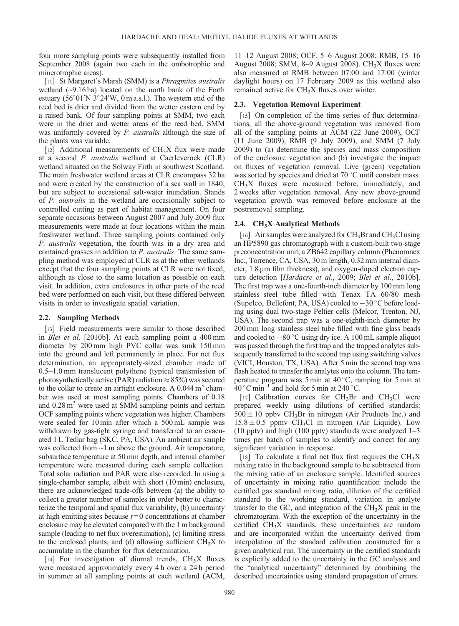four more sampling points were subsequently installed from September 2008 (again two each in the ombotrophic and minerotrophic areas).

[11] St Margaret's Marsh (SMM) is a *Phragmites australis* wetland (~9.16 ha) located on the north bank of the Forth estuary  $(56^{\circ}01'N 3^{\circ}24'W, 0m a.s.l.).$  The western end of the reed bed is drier and divided from the wetter eastern end by a raised bank. Of four sampling points at SMM, two each were in the drier and wetter areas of the reed bed. SMM was uniformly covered by *P. australis* although the size of the plants was variable.

[12] Additional measurements of  $CH_3X$  flux were made at a second P. australis wetland at Caerleverock (CLR) wetland situated on the Solway Firth in southwest Scotland. The main freshwater wetland areas at CLR encompass 32 ha and were created by the construction of a sea wall in 1840, but are subject to occasional salt-water inundation. Stands of P. australis in the wetland are occasionally subject to controlled cutting as part of habitat management. On four separate occasions between August 2007 and July 2009 flux measurements were made at four locations within the main freshwater wetland. Three sampling points contained only P. australis vegetation, the fourth was in a dry area and contained grasses in addition to P. australis. The same sampling method was employed at CLR as at the other wetlands except that the four sampling points at CLR were not fixed, although as close to the same location as possible on each visit. In addition, extra enclosures in other parts of the reed bed were performed on each visit, but these differed between visits in order to investigate spatial variation.

#### 2.2. Sampling Methods

[13] Field measurements were similar to those described in Blei et al. [2010b]. At each sampling point a 400 mm diameter by 200 mm high PVC collar was sunk 150 mm into the ground and left permanently in place. For net flux determination, an appropriately-sized chamber made of 0.5–1.0 mm translucent polythene (typical transmission of photosynthetically active (PAR) radiation  $\approx 85\%$ ) was secured to the collar to create an airtight enclosure. A  $0.044 \text{ m}^3$  chamber was used at most sampling points. Chambers of 0.18 and  $0.28 \text{ m}^3$  were used at SMM sampling points and certain OCF sampling points where vegetation was higher. Chambers were sealed for 10 min after which a 500 mL sample was withdrawn by gas-tight syringe and transferred to an evacuated 1 L Tedlar bag (SKC, PA, USA). An ambient air sample was collected from  $\sim$ 1 m above the ground. Air temperature, subsurface temperature at 50 mm depth, and internal chamber temperature were measured during each sample collection. Total solar radiation and PAR were also recorded. In using a single-chamber sample, albeit with short (10 min) enclosure, there are acknowledged trade-offs between (a) the ability to collect a greater number of samples in order better to characterize the temporal and spatial flux variability, (b) uncertainty at high emitting sites because  $t = 0$  concentrations at chamber enclosure may be elevated compared with the 1 m background sample (leading to net flux overestimation), (c) limiting stress to the enclosed plants, and (d) allowing sufficient  $CH_3X$  to accumulate in the chamber for flux determination.

[14] For investigation of diurnal trends,  $CH_3X$  fluxes were measured approximately every 4 h over a 24 h period in summer at all sampling points at each wetland (ACM, 11–12 August 2008; OCF, 5–6 August 2008; RMB, 15–16 August 2008; SMM, 8–9 August 2008). CH<sub>3</sub>X fluxes were also measured at RMB between 07:00 and 17:00 (winter daylight hours) on 17 February 2009 as this wetland also remained active for CH<sub>3</sub>X fluxes over winter.

## 2.3. Vegetation Removal Experiment

[15] On completion of the time series of flux determinations, all the above-ground vegetation was removed from all of the sampling points at ACM (22 June 2009), OCF (11 June 2009), RMB (9 July 2009), and SMM (7 July 2009) to (a) determine the species and mass composition of the enclosure vegetation and (b) investigate the impact on fluxes of vegetation removal. Live (green) vegetation was sorted by species and dried at  $70^{\circ}$ C until constant mass. CH3X fluxes were measured before, immediately, and 2 weeks after vegetation removal. Any new above-ground vegetation growth was removed before enclosure at the postremoval sampling.

## 2.4. CH<sub>3</sub>X Analytical Methods

[16] Air samples were analyzed for  $CH_3Br$  and  $CH_3Cl$  using an HP5890 gas chromatograph with a custom-built two-stage preconcentration unit, a ZB642 capillary column (Phenomnex Inc., Torrence, CA, USA, 30 m length, 0.32 mm internal diameter, 1.8  $\mu$ m film thickness), and oxygen-doped electron capture detection [Hardacre et al., 2009; Blei et al., 2010b]. The first trap was a one-fourth-inch diameter by 100 mm long stainless steel tube filled with Tenax TA 60/80 mesh (Supelco, Bellefont, PA, USA) cooled to  $-30^{\circ}$ C before loading using dual two-stage Peltier cells (Melcor, Trenton, NJ, USA). The second trap was a one-eighth-inch diameter by 200 mm long stainless steel tube filled with fine glass beads and cooled to  $-80^{\circ}$ C using dry ice. A 100 mL sample aliquot was passed through the first trap and the trapped analytes subsequently transferred to the second trap using switching valves (VICI, Houston, TX, USA). After 5 min the second trap was flash heated to transfer the analytes onto the column. The temperature program was 5 min at  $40^{\circ}$ C, ramping for 5 min at 40 °C min<sup>-1</sup> and hold for 5 min at 240 °C.

[17] Calibration curves for  $CH_3Br$  and  $CH_3Cl$  were prepared weekly using dilutions of certified standards:  $500 \pm 10$  ppby CH<sub>3</sub>Br in nitrogen (Air Products Inc.) and  $15.8 \pm 0.5$  ppmv CH<sub>3</sub>Cl in nitrogen (Air Liquide). Low (10 pptv) and high (100 pptv) standards were analyzed  $1-3$ times per batch of samples to identify and correct for any significant variation in response.

[18] To calculate a final net flux first requires the  $CH_3X$ mixing ratio in the background sample to be subtracted from the mixing ratio of an enclosure sample. Identified sources of uncertainty in mixing ratio quantification include the certified gas standard mixing ratio, dilution of the certified standard to the working standard, variation in analyte transfer to the GC, and integration of the  $CH<sub>3</sub>X$  peak in the chromatogram. With the exception of the uncertainty in the certified CH3X standards, these uncertainties are random and are incorporated within the uncertainty derived from interpolation of the standard calibration constructed for a given analytical run. The uncertainty in the certified standards is explicitly added to the uncertainty in the GC analysis and the "analytical uncertainty" determined by combining the described uncertainties using standard propagation of errors.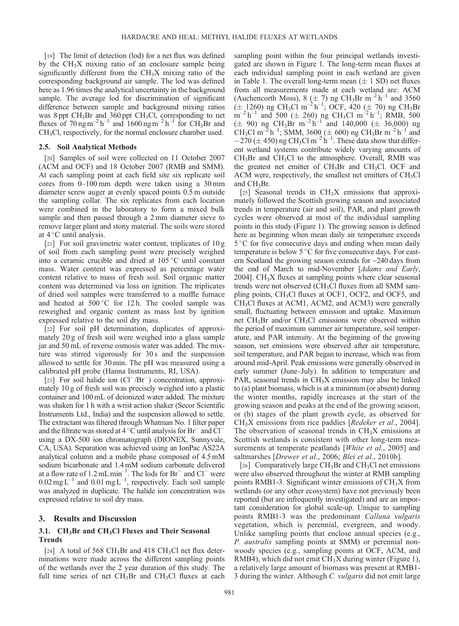[19] The limit of detection (lod) for a net flux was defined by the  $CH<sub>3</sub>X$  mixing ratio of an enclosure sample being significantly different from the  $CH<sub>3</sub>X$  mixing ratio of the corresponding background air sample. The lod was defined here as 1.96 times the analytical uncertainty in the background sample. The average lod for discrimination of significant difference between sample and background mixing ratios was 8 ppt CH<sub>3</sub>Br and 360 ppt CH<sub>3</sub>Cl, corresponding to net fluxes of  $70 \text{ ng m}^{-2} \text{ h}^{-1}$  and  $1600 \text{ ng m}^{-2} \text{ h}^{-1}$  for CH<sub>3</sub>Br and CH3Cl, respectively, for the normal enclosure chamber used.

#### 2.5. Soil Analytical Methods

[20] Samples of soil were collected on 11 October 2007 (ACM and OCF) and 18 October 2007 (RMB and SMM). At each sampling point at each field site six replicate soil cores from 0–100 mm depth were taken using a 30 mm diameter screw auger at evenly spaced points 0.5 m outside the sampling collar. The six replicates from each location were combined in the laboratory to form a mixed bulk sample and then passed through a 2 mm diameter sieve to remove larger plant and stony material. The soils were stored at  $4^{\circ}$ C until analysis.

[21] For soil gravimetric water content, triplicates of 10 g of soil from each sampling point were precisely weighed into a ceramic crucible and dried at  $105^{\circ}$ C until constant mass. Water content was expressed as percentage water content relative to mass of fresh soil. Soil organic matter content was determined via loss on ignition. The triplicates of dried soil samples were transferred to a muffle furnace and heated at  $500^{\circ}$ C for 12 h. The cooled sample was reweighed and organic content as mass lost by ignition expressed relative to the soil dry mass.

[22] For soil pH determination, duplicates of approximately 20 g of fresh soil were weighed into a glass sample jar and 50 mL of reverse osmosis water was added. The mixture was stirred vigorously for 30s and the suspension allowed to settle for 30 min. The pH was measured using a calibrated pH probe (Hanna Instruments, RI, USA).

[23] For soil halide ion  $(Cl^-/Br^-)$  concentration, approximately 10 g of fresh soil was precisely weighed into a plastic container and 100 mL of deionized water added. The mixture was shaken for 1 h with a wrist action shaker (Secor Scientific Instruments Ltd., India) and the suspension allowed to settle. The extractant was filtered through Whatman No. 1 filter paper and the filtrate was stored at  $4^{\circ}$ C until analysis for Br<sup>-</sup> and Cl<sup>-</sup> using a DX-500 ion chromatograph (DIONEX, Sunnyvale, CA, USA). Separation was achieved using an IonPac AS22A analytical column and a mobile phase composed of 4.5 mM sodium bicarbonate and 1.4 mM sodium carbonate delivered at a flow rate of  $1.2 \text{ mL min}^{-1}$ . The lods for  $\text{Br}^-$  and  $\text{Cl}^-$  were  $0.02 \text{ mg L}^{-1}$  and  $0.01 \text{ mg L}^{-1}$ , respectively. Each soil sample was analyzed in duplicate. The halide ion concentration was expressed relative to soil dry mass.

#### 3. Results and Discussion

### 3.1. CH<sub>3</sub>Br and CH<sub>3</sub>Cl Fluxes and Their Seasonal Trends

[24] A total of 568 CH<sub>3</sub>Br and 418 CH<sub>3</sub>Cl net flux determinations were made across the different sampling points of the wetlands over the 2 year duration of this study. The full time series of net  $CH_3Br$  and  $CH_3Cl$  fluxes at each sampling point within the four principal wetlands investigated are shown in Figure 1. The long-term mean fluxes at each individual sampling point in each wetland are given in Table 1. The overall long-term mean  $(\pm 1 \text{ SD})$  net fluxes from all measurements made at each wetland are: ACM (Auchencorth Moss),  $8 \ (\pm 7)$  ng CH<sub>3</sub>Br m<sup>-2</sup> h<sup>-1</sup> and 3560  $(\pm 1260)$  ng CH<sub>3</sub>Cl m<sup>-2</sup> h<sup>-1</sup>; OCF, 420 ( $\pm$  70) ng CH<sub>3</sub>Br  $m^{-2} h^{-1}$  and 500 ( $\pm$  260) ng CH<sub>3</sub>Cl  $m^{-2} h^{-1}$ ; RMB, 500  $(\pm 90)$  ng CH<sub>3</sub>Br m<sup>-2</sup> h<sup>-1</sup> and 140,000 ( $\pm 36,000$ ) ng CH<sub>3</sub>Cl m<sup>-2</sup> h<sup>-1</sup>; SMM, 3600 ( $\pm$  600) ng CH<sub>3</sub>Br m<sup>-2</sup> h<sup>-1</sup> and  $-270 \ (\pm 450)$  ng CH<sub>3</sub>Cl m<sup>-2</sup> h<sup>-1</sup>. These data show that different wetland systems contribute widely varying amounts of  $CH<sub>3</sub>Br$  and  $CH<sub>3</sub>Cl$  to the atmosphere. Overall, RMB was the greatest net emitter of  $CH<sub>3</sub>Br$  and  $CH<sub>3</sub>Cl$ . OCF and ACM were, respectively, the smallest net emitters of  $CH<sub>3</sub>Cl$ and CH3Br.

[25] Seasonal trends in  $CH<sub>3</sub>X$  emissions that approximately followed the Scottish growing season and associated trends in temperature (air and soil), PAR, and plant growth cycles were observed at most of the individual sampling points in this study (Figure 1). The growing season is defined here as beginning when mean daily air temperature exceeds  $5^{\circ}$ C for five consecutive days and ending when mean daily temperature is below  $5^{\circ}$ C for five consecutive days. For eastern Scotland the growing season extends for ~240 days from the end of March to mid-November [Adams and Early,  $2004$ . CH<sub>3</sub>X fluxes at sampling points where clear seasonal trends were not observed (CH<sub>3</sub>Cl fluxes from all SMM sampling points, CH3Cl fluxes at OCF1, OCF2, and OCF5, and CH3Cl fluxes at ACM1, ACM2, and ACM3) were generally small, fluctuating between emission and uptake. Maximum net CH3Br and/or CH3Cl emissions were observed within the period of maximum summer air temperature, soil temperature, and PAR intensity. At the beginning of the growing season, net emissions were observed after air temperature, soil temperature, and PAR began to increase, which was from around mid-April. Peak emissions were generally observed in early summer (June–July). In addition to temperature and PAR, seasonal trends in  $CH<sub>3</sub>X$  emission may also be linked to (a) plant biomass, which is at a minimum (or absent) during the winter months, rapidly increases at the start of the growing season and peaks at the end of the growing season, or (b) stages of the plant growth cycle, as observed for CH<sub>3</sub>X emissions from rice paddies [Redeker et al., 2004]. The observation of seasonal trends in  $CH<sub>3</sub>X$  emissions at Scottish wetlands is consistent with other long-term measurements at temperate peatlands [*White et al.*, 2005] and saltmarshes [Drewer et al., 2006; Blei et al., 2010b].

[26] Comparatively large CH<sub>3</sub>Br and CH<sub>3</sub>Cl net emissions were also observed throughout the winter at RMB sampling points RMB1-3. Significant winter emissions of  $CH<sub>3</sub>X$  from wetlands (or any other ecosystem) have not previously been reported (but are infrequently investigated) and are an important consideration for global scale-up. Unique to sampling points RMB1-3 was the predominant Calluna vulgaris vegetation, which is perennial, evergreen, and woody. Unlike sampling points that enclose annual species (e.g., P. australis sampling points at SMM) or perennial nonwoody species (e.g., sampling points at OCF, ACM, and RMB4), which did not emit  $CH_3X$  during winter (Figure 1), a relatively large amount of biomass was present at RMB1- 3 during the winter. Although C. vulgaris did not emit large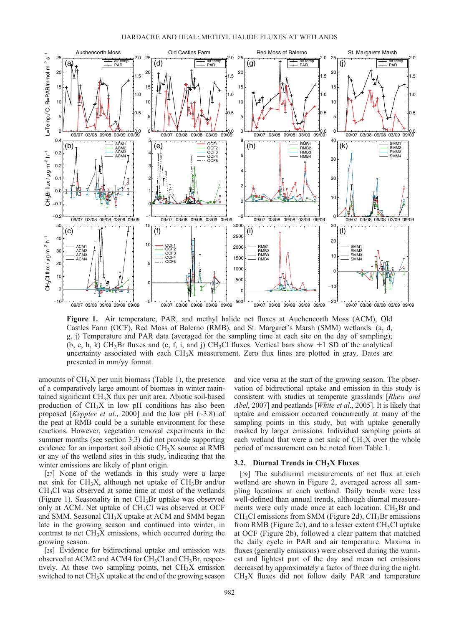

Figure 1. Air temperature, PAR, and methyl halide net fluxes at Auchencorth Moss (ACM), Old Castles Farm (OCF), Red Moss of Balerno (RMB), and St. Margaret's Marsh (SMM) wetlands. (a, d, g, j) Temperature and PAR data (averaged for the sampling time at each site on the day of sampling); (b, e, h, k) CH<sub>3</sub>Br fluxes and (c, f, i, and j) CH<sub>3</sub>Cl fluxes. Vertical bars show  $\pm 1$  SD of the analytical uncertainty associated with each  $CH<sub>3</sub>X$  measurement. Zero flux lines are plotted in gray. Dates are presented in mm/yy format.

amounts of  $CH_3X$  per unit biomass (Table 1), the presence of a comparatively large amount of biomass in winter maintained significant CH3X flux per unit area. Abiotic soil-based production of CH3X in low pH conditions has also been proposed [Keppler et al., 2000] and the low pH  $(\sim 3.8)$  of the peat at RMB could be a suitable environment for these reactions. However, vegetation removal experiments in the summer months (see section 3.3) did not provide supporting evidence for an important soil abiotic  $CH<sub>3</sub>X$  source at RMB or any of the wetland sites in this study, indicating that the winter emissions are likely of plant origin.

[27] None of the wetlands in this study were a large net sink for  $CH_3X$ , although net uptake of  $CH_3Br$  and/or CH3Cl was observed at some time at most of the wetlands (Figure 1). Seasonality in net  $CH<sub>3</sub>Br$  uptake was observed only at ACM. Net uptake of CH3Cl was observed at OCF and SMM. Seasonal  $CH<sub>3</sub>X$  uptake at ACM and SMM began late in the growing season and continued into winter, in contrast to net  $CH<sub>3</sub>X$  emissions, which occurred during the growing season.

[28] Evidence for bidirectional uptake and emission was observed at ACM2 and ACM4 for  $CH<sub>3</sub>Cl$  and  $CH<sub>3</sub>Br$ , respectively. At these two sampling points, net  $CH<sub>3</sub>X$  emission switched to net  $CH<sub>3</sub>X$  uptake at the end of the growing season and vice versa at the start of the growing season. The observation of bidirectional uptake and emission in this study is consistent with studies at temperate grasslands [Rhew and Abel, 2007] and peatlands [White et al., 2005]. It is likely that uptake and emission occurred concurrently at many of the sampling points in this study, but with uptake generally masked by larger emissions. Individual sampling points at each wetland that were a net sink of  $CH<sub>3</sub>X$  over the whole period of measurement can be noted from Table 1.

#### 3.2. Diurnal Trends in CH<sub>3</sub>X Fluxes

[29] The subdiurnal measurements of net flux at each wetland are shown in Figure 2, averaged across all sampling locations at each wetland. Daily trends were less well-defined than annual trends, although diurnal measurements were only made once at each location.  $CH<sub>3</sub>Br$  and  $CH<sub>3</sub>Cl$  emissions from SMM (Figure 2d),  $CH<sub>3</sub>Br$  emissions from RMB (Figure 2c), and to a lesser extent  $CH<sub>3</sub>Cl$  uptake at OCF (Figure 2b), followed a clear pattern that matched the daily cycle in PAR and air temperature. Maxima in fluxes (generally emissions) were observed during the warmest and lightest part of the day and mean net emissions decreased by approximately a factor of three during the night.  $CH<sub>3</sub>X$  fluxes did not follow daily PAR and temperature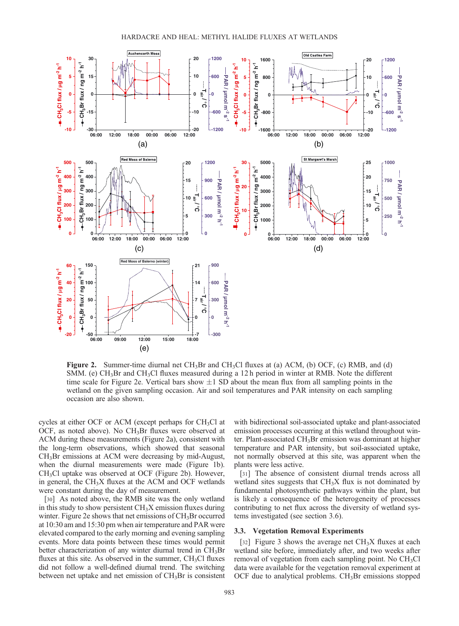

**Figure 2.** Summer-time diurnal net  $CH_3Br$  and  $CH_3Cl$  fluxes at (a) ACM, (b) OCF, (c) RMB, and (d) SMM. (e) CH<sub>3</sub>Br and CH<sub>3</sub>Cl fluxes measured during a 12 h period in winter at RMB. Note the different time scale for Figure 2e. Vertical bars show  $\pm 1$  SD about the mean flux from all sampling points in the wetland on the given sampling occasion. Air and soil temperatures and PAR intensity on each sampling occasion are also shown.

cycles at either OCF or ACM (except perhaps for CH<sub>3</sub>Cl at OCF, as noted above). No CH<sub>3</sub>Br fluxes were observed at ACM during these measurements (Figure 2a), consistent with the long-term observations, which showed that seasonal CH<sub>3</sub>Br emissions at ACM were decreasing by mid-August, when the diurnal measurements were made (Figure 1b). CH3Cl uptake was observed at OCF (Figure 2b). However, in general, the  $CH<sub>3</sub>X$  fluxes at the ACM and OCF wetlands were constant during the day of measurement.

[30] As noted above, the RMB site was the only wetland in this study to show persistent  $CH<sub>3</sub>X$  emission fluxes during winter. Figure 2e shows that net emissions of CH<sub>3</sub>Br occurred at 10:30 am and 15:30 pm when air temperature and PAR were elevated compared to the early morning and evening sampling events. More data points between these times would permit better characterization of any winter diurnal trend in  $CH<sub>3</sub>Br$ fluxes at this site. As observed in the summer,  $CH<sub>3</sub>Cl$  fluxes did not follow a well-defined diurnal trend. The switching between net uptake and net emission of  $CH<sub>3</sub>Br$  is consistent with bidirectional soil-associated uptake and plant-associated emission processes occurring at this wetland throughout winter. Plant-associated  $CH<sub>3</sub>Br$  emission was dominant at higher temperature and PAR intensity, but soil-associated uptake, not normally observed at this site, was apparent when the plants were less active.

[31] The absence of consistent diurnal trends across all wetland sites suggests that  $CH_3X$  flux is not dominated by fundamental photosynthetic pathways within the plant, but is likely a consequence of the heterogeneity of processes contributing to net flux across the diversity of wetland systems investigated (see section 3.6).

### 3.3. Vegetation Removal Experiments

[32] Figure 3 shows the average net  $CH<sub>3</sub>X$  fluxes at each wetland site before, immediately after, and two weeks after removal of vegetation from each sampling point. No  $CH<sub>3</sub>Cl$ data were available for the vegetation removal experiment at OCF due to analytical problems.  $CH<sub>3</sub>Br$  emissions stopped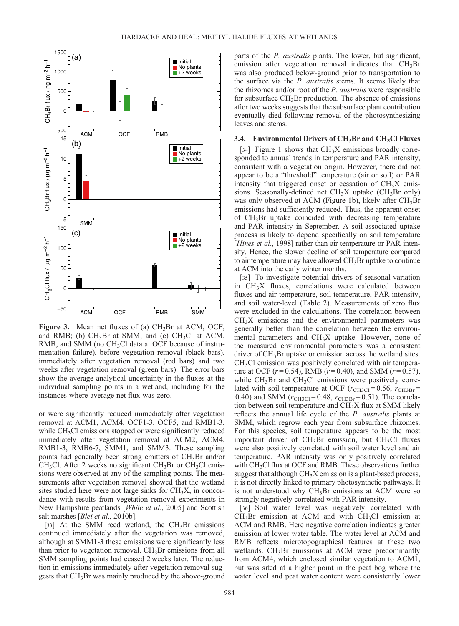

**Figure 3.** Mean net fluxes of (a)  $CH_3Br$  at ACM, OCF, and RMB; (b)  $CH_3Br$  at SMM; and (c)  $CH_3Cl$  at ACM, RMB, and SMM (no CH<sub>3</sub>Cl data at OCF because of instrumentation failure), before vegetation removal (black bars), immediately after vegetation removal (red bars) and two weeks after vegetation removal (green bars). The error bars show the average analytical uncertainty in the fluxes at the individual sampling points in a wetland, including for the instances where average net flux was zero.

or were significantly reduced immediately after vegetation removal at ACM1, ACM4, OCF1-3, OCF5, and RMB1-3, while CH<sub>3</sub>Cl emissions stopped or were significantly reduced immediately after vegetation removal at ACM2, ACM4, RMB1-3, RMB6-7, SMM1, and SMM3. These sampling points had generally been strong emitters of CH3Br and/or  $CH<sub>3</sub>Cl$ . After 2 weeks no significant  $CH<sub>3</sub>Br$  or  $CH<sub>3</sub>Cl$  emissions were observed at any of the sampling points. The measurements after vegetation removal showed that the wetland sites studied here were not large sinks for  $CH<sub>3</sub>X$ , in concordance with results from vegetation removal experiments in New Hampshire peatlands [*White et al.*, 2005] and Scottish salt marshes [*Blei et al.*, 2010b].

[33] At the SMM reed wetland, the CH<sub>3</sub>Br emissions continued immediately after the vegetation was removed, although at SMM1-3 these emissions were significantly less than prior to vegetation removal.  $CH<sub>3</sub>Br$  emissions from all SMM sampling points had ceased 2 weeks later. The reduction in emissions immediately after vegetation removal suggests that CH3Br was mainly produced by the above-ground parts of the *P. australis* plants. The lower, but significant, emission after vegetation removal indicates that  $CH<sub>3</sub>Br$ was also produced below-ground prior to transportation to the surface via the P. australis stems. It seems likely that the rhizomes and/or root of the P. australis were responsible for subsurface  $CH<sub>3</sub>Br$  production. The absence of emissions after two weeks suggests that the subsurface plant contribution eventually died following removal of the photosynthesizing leaves and stems.

#### 3.4. Environmental Drivers of  $CH_3Br$  and  $CH_3Cl$  Fluxes

[34] Figure 1 shows that  $CH<sub>3</sub>X$  emissions broadly corresponded to annual trends in temperature and PAR intensity, consistent with a vegetation origin. However, there did not appear to be a "threshold" temperature (air or soil) or PAR intensity that triggered onset or cessation of  $CH<sub>3</sub>X$  emissions. Seasonally-defined net  $CH<sub>3</sub>X$  uptake (CH<sub>3</sub>Br only) was only observed at ACM (Figure 1b), likely after  $CH<sub>3</sub>Br$ emissions had sufficiently reduced. Thus, the apparent onset of CH3Br uptake coincided with decreasing temperature and PAR intensity in September. A soil-associated uptake process is likely to depend specifically on soil temperature [Hines et al., 1998] rather than air temperature or PAR intensity. Hence, the slower decline of soil temperature compared to air temperature may have allowed  $CH<sub>3</sub>Br$  uptake to continue at ACM into the early winter months.

[35] To investigate potential drivers of seasonal variation in  $CH<sub>3</sub>X$  fluxes, correlations were calculated between fluxes and air temperature, soil temperature, PAR intensity, and soil water-level (Table 2). Measurements of zero flux were excluded in the calculations. The correlation between  $CH<sub>3</sub>X$  emissions and the environmental parameters was generally better than the correlation between the environmental parameters and  $CH<sub>3</sub>X$  uptake. However, none of the measured environmental parameters was a consistent driver of CH<sub>3</sub>Br uptake or emission across the wetland sites. CH<sub>3</sub>Cl emission was positively correlated with air temperature at OCF ( $r = 0.54$ ), RMB ( $r = 0.40$ ), and SMM ( $r = 0.57$ ), while  $CH<sub>3</sub>Br$  and  $CH<sub>3</sub>Cl$  emissions were positively correlated with soil temperature at OCF ( $r_{\text{CH3Cl}} = 0.56$ ,  $r_{\text{CH3Br}} =$ 0.40) and SMM ( $r_{\text{CH3Cl}} = 0.48$ ,  $r_{\text{CH3Br}} = 0.51$ ). The correlation between soil temperature and CH<sub>3</sub>X flux at SMM likely reflects the annual life cycle of the P. australis plants at SMM, which regrow each year from subsurface rhizomes. For this species, soil temperature appears to be the most important driver of  $CH<sub>3</sub>Br$  emission, but  $CH<sub>3</sub>Cl$  fluxes were also positively correlated with soil water level and air temperature. PAR intensity was only positively correlated with CH3Cl flux at OCF and RMB. These observations further suggest that although  $CH<sub>3</sub>X$  emission is a plant-based process, it is not directly linked to primary photosynthetic pathways. It is not understood why CH<sub>3</sub>Br emissions at ACM were so strongly negatively correlated with PAR intensity.

[36] Soil water level was negatively correlated with  $CH<sub>3</sub>Br$  emission at ACM and with  $CH<sub>3</sub>Cl$  emission at ACM and RMB. Here negative correlation indicates greater emission at lower water table. The water level at ACM and RMB reflects microtopographical features at these two wetlands. CH<sub>3</sub>Br emissions at ACM were predominantly from ACM4, which enclosed similar vegetation to ACM1, but was sited at a higher point in the peat bog where the water level and peat water content were consistently lower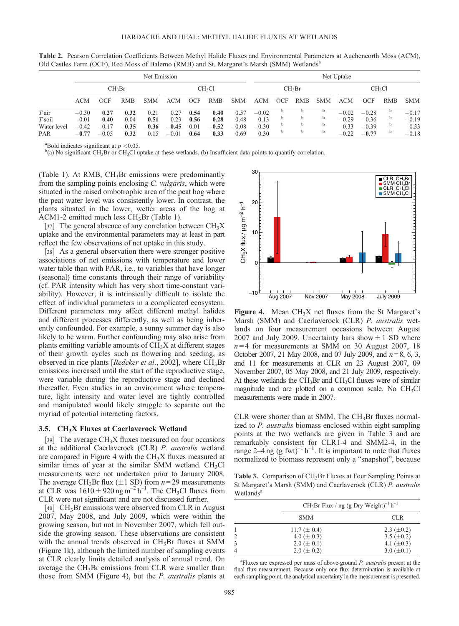|                                                |                                                                                         |                                    |                                 | Net Emission                    |                                    |                              |                                 |                                 |                                    |             |                    |                  | Net Uptake                            |                                          |   |                                       |
|------------------------------------------------|-----------------------------------------------------------------------------------------|------------------------------------|---------------------------------|---------------------------------|------------------------------------|------------------------------|---------------------------------|---------------------------------|------------------------------------|-------------|--------------------|------------------|---------------------------------------|------------------------------------------|---|---------------------------------------|
|                                                |                                                                                         |                                    | $CH_3Br$                        |                                 |                                    |                              | CH <sub>3</sub> Cl              |                                 |                                    |             | CH <sub>3</sub> Br |                  |                                       | CH <sub>3</sub> Cl                       |   |                                       |
|                                                | <b>ACM</b><br>OCF<br><b>OCF</b><br><b>SMM</b><br><b>ACM</b><br><b>RMB</b><br><b>RMB</b> |                                    |                                 |                                 |                                    | <b>SMM</b>                   | ACM                             | OCF                             | <b>RMB</b>                         | <b>SMM</b>  | <b>ACM</b>         | <b>OCF</b>       | <b>RMB</b>                            | <b>SMM</b>                               |   |                                       |
| $T$ air<br>T soil<br>Water level<br><b>PAR</b> | $-0.30$<br>0.01<br>$-0.42$<br>$-0.77$                                                   | 0.27<br>0.40<br>$-0.17$<br>$-0.05$ | 0.32<br>0.04<br>$-0.35$<br>0.32 | 0.21<br>0.51<br>$-0.36$<br>0.15 | 0.27<br>0.23<br>$-0.45$<br>$-0.01$ | 0.54<br>0.56<br>0.01<br>0.64 | 0.40<br>0.28<br>$-0.52$<br>0.33 | 0.57<br>0.48<br>$-0.08$<br>0.69 | $-0.02$<br>0.13<br>$-0.30$<br>0.30 | b<br>b<br>b | b<br>b<br>b<br>b   | b<br>b<br>b<br>b | $-0.02$<br>$-0.29$<br>0.33<br>$-0.22$ | $-0.28$<br>$-0.36$<br>$-0.39$<br>$-0.77$ | b | $-0.17$<br>$-0.19$<br>0.33<br>$-0.18$ |

Table 2. Pearson Correlation Coefficients Between Methyl Halide Fluxes and Environmental Parameters at Auchencorth Moss (ACM), Old Castles Farm (OCF), Red Moss of Balerno (RMB) and St. Margaret's Marsh (SMM) Wetlandsa

<sup>a</sup>Bold indicates significant at  $p < 0.05$ .<br> $b(a)$  No significant CH<sub>2</sub>Rr or CH<sub>2</sub>Cl u

 $b$ <sup>t</sup>(a) No significant CH<sub>3</sub>Br or CH<sub>3</sub>Cl uptake at these wetlands. (b) Insufficient data points to quantify correlation.

(Table 1). At RMB,  $CH<sub>3</sub>Br$  emissions were predominantly from the sampling points enclosing C. vulgaris, which were situated in the raised ombotrophic area of the peat bog where the peat water level was consistently lower. In contrast, the plants situated in the lower, wetter areas of the bog at ACM1-2 emitted much less CH<sub>3</sub>Br (Table 1).

[37] The general absence of any correlation between  $CH<sub>3</sub>X$ uptake and the environmental parameters may at least in part reflect the few observations of net uptake in this study.

[38] As a general observation there were stronger positive associations of net emissions with temperature and lower water table than with PAR, i.e., to variables that have longer (seasonal) time constants through their range of variability (cf. PAR intensity which has very short time-constant variability). However, it is intrinsically difficult to isolate the effect of individual parameters in a complicated ecosystem. Different parameters may affect different methyl halides and different processes differently, as well as being inherently confounded. For example, a sunny summer day is also likely to be warm. Further confounding may also arise from plants emitting variable amounts of  $CH_3X$  at different stages of their growth cycles such as flowering and seeding, as observed in rice plants [Redeker et al., 2002], where  $CH_3Br$ emissions increased until the start of the reproductive stage, were variable during the reproductive stage and declined thereafter. Even studies in an environment where temperature, light intensity and water level are tightly controlled and manipulated would likely struggle to separate out the myriad of potential interacting factors.

#### 3.5. CH<sub>3</sub>X Fluxes at Caerlaverock Wetland

[39] The average  $CH_3X$  fluxes measured on four occasions at the additional Caerlaverock (CLR) P. australis wetland are compared in Figure 4 with the  $CH<sub>3</sub>X$  fluxes measured at similar times of year at the similar SMM wetland.  $CH<sub>3</sub>Cl$ measurements were not undertaken prior to January 2008. The average CH<sub>3</sub>Br flux ( $\pm$ 1 SD) from  $n = 29$  measurements at CLR was  $1610 \pm 920$  ng m<sup>-2</sup> h<sup>-1</sup>. The CH<sub>3</sub>Cl fluxes from CLR were not significant and are not discussed further.

[40] CH<sub>3</sub>Br emissions were observed from CLR in August 2007, May 2008, and July 2009, which were within the growing season, but not in November 2007, which fell outside the growing season. These observations are consistent with the annual trends observed in CH<sub>3</sub>Br fluxes at SMM (Figure 1k), although the limited number of sampling events at CLR clearly limits detailed analysis of annual trend. On average the  $CH<sub>3</sub>Br$  emissions from CLR were smaller than those from SMM (Figure 4), but the P. australis plants at



**Figure 4.** Mean  $CH_3X$  net fluxes from the St Margaret's Marsh (SMM) and Caerlaverock (CLR) P. australis wetlands on four measurement occasions between August 2007 and July 2009. Uncertainty bars show  $\pm$  1 SD where  $n=4$  for measurements at SMM on 30 August 2007, 18 October 2007, 21 May 2008, and 07 July 2009, and  $n=8, 6, 3,$ and 11 for measurements at CLR on 23 August 2007, 09 November 2007, 05 May 2008, and 21 July 2009, respectively. At these wetlands the  $CH_3Br$  and  $CH_3Cl$  fluxes were of similar magnitude and are plotted on a common scale. No  $CH<sub>3</sub>Cl$ measurements were made in 2007.

CLR were shorter than at SMM. The  $CH<sub>3</sub>Br$  fluxes normalized to P. australis biomass enclosed within eight sampling points at the two wetlands are given in Table 3 and are remarkably consistent for CLR1-4 and SMM2-4, in the range  $2-4$  ng (g fwt)<sup>-1</sup> h<sup>-1</sup>. It is important to note that fluxes normalized to biomass represent only a "snapshot", because

Table 3. Comparison of CH<sub>3</sub>Br Fluxes at Four Sampling Points at St Margaret's Marsh (SMM) and Caerlaverock (CLR) P. australis Wetlands<sup>a</sup>

| $CH_3Br$ Flux / ng (g Dry Weight) <sup>-1</sup> h <sup>-1</sup> |                                    |
|-----------------------------------------------------------------|------------------------------------|
| <b>SMM</b>                                                      | CLR.                               |
| 11.7 ( $\pm$ 0.4)<br>4.0 ( $\pm$ 0.3)                           | 2.3 $(\pm 0.2)$<br>3.5 $(\pm 0.2)$ |
| $2.0 \ (\pm 0.1)$<br>$2.0 \ (\pm 0.2)$                          | 4.1 $(\pm 0.3)$<br>3.0 $(\pm 0.1)$ |

<sup>a</sup>Fluxes are expressed per mass of above-ground P. australis present at the final flux measurement. Because only one flux determination is available at each sampling point, the analytical uncertainty in the measurement is presented.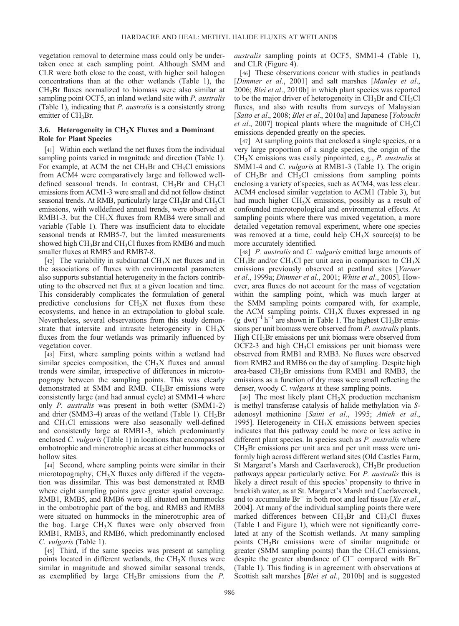vegetation removal to determine mass could only be undertaken once at each sampling point. Although SMM and CLR were both close to the coast, with higher soil halogen concentrations than at the other wetlands (Table 1), the CH3Br fluxes normalized to biomass were also similar at sampling point OCF5, an inland wetland site with P. *australis* (Table 1), indicating that P. australis is a consistently strong emitter of CH<sub>3</sub>Br.

## 3.6. Heterogeneity in  $CH<sub>3</sub>X$  Fluxes and a Dominant Role for Plant Species

[41] Within each wetland the net fluxes from the individual sampling points varied in magnitude and direction (Table 1). For example, at ACM the net  $CH_3Br$  and  $CH_3Cl$  emissions from ACM4 were comparatively large and followed welldefined seasonal trends. In contrast,  $CH_3Br$  and  $CH_3Cl$ emissions from ACM1-3 were small and did not follow distinct seasonal trends. At RMB, particularly large  $CH_3Br$  and  $CH_3Cl$ emissions, with welldefined annual trends, were observed at RMB1-3, but the  $CH<sub>3</sub>X$  fluxes from RMB4 were small and variable (Table 1). There was insufficient data to elucidate seasonal trends at RMB5-7, but the limited measurements showed high  $CH<sub>3</sub>Br$  and  $CH<sub>3</sub>Cl$  fluxes from RMB6 and much smaller fluxes at RMB5 and RMB7-8.

[42] The variability in subdiurnal  $CH<sub>3</sub>X$  net fluxes and in the associations of fluxes with environmental parameters also supports substantial heterogeneity in the factors contributing to the observed net flux at a given location and time. This considerably complicates the formulation of general predictive conclusions for  $CH<sub>3</sub>X$  net fluxes from these ecosystems, and hence in an extrapolation to global scale. Nevertheless, several observations from this study demonstrate that intersite and intrasite heterogeneity in  $CH<sub>3</sub>X$ fluxes from the four wetlands was primarily influenced by vegetation cover.

[43] First, where sampling points within a wetland had similar species composition, the  $CH<sub>3</sub>X$  fluxes and annual trends were similar, irrespective of differences in microtopograpy between the sampling points. This was clearly demonstrated at SMM and RMB.  $CH<sub>3</sub>Br$  emissions were consistently large (and had annual cycle) at SMM1-4 where only P. australis was present in both wetter (SMM1-2) and drier (SMM3-4) areas of the wetland (Table 1).  $CH_3Br$ and CH3Cl emissions were also seasonally well-defined and consistently large at RMB1-3, which predominantly enclosed C. vulgaris (Table 1) in locations that encompassed ombotrophic and minerotrophic areas at either hummocks or hollow sites.

[44] Second, where sampling points were similar in their microtopography,  $CH<sub>3</sub>X$  fluxes only differed if the vegetation was dissimilar. This was best demonstrated at RMB where eight sampling points gave greater spatial coverage. RMB1, RMB5, and RMB6 were all situated on hummocks in the ombotrophic part of the bog, and RMB3 and RMB8 were situated on hummocks in the minerotrophic area of the bog. Large  $CH<sub>3</sub>X$  fluxes were only observed from RMB1, RMB3, and RMB6, which predominantly enclosed C. vulgaris (Table 1).

[45] Third, if the same species was present at sampling points located in different wetlands, the  $CH<sub>3</sub>X$  fluxes were similar in magnitude and showed similar seasonal trends, as exemplified by large  $CH<sub>3</sub>Br$  emissions from the  $P$ . australis sampling points at OCF5, SMM1-4 (Table 1), and CLR (Figure 4).

[46] These observations concur with studies in peatlands [Dimmer et al., 2001] and salt marshes [Manley et al., 2006; Blei et al., 2010b] in which plant species was reported to be the major driver of heterogeneity in  $CH<sub>3</sub>Br$  and  $CH<sub>3</sub>Cl$ fluxes, and also with results from surveys of Malaysian [Saito et al., 2008; Blei et al., 2010a] and Japanese [Yokouchi *et al.*, 2007] tropical plants where the magnitude of  $CH<sub>3</sub>Cl$ emissions depended greatly on the species.

[47] At sampling points that enclosed a single species, or a very large proportion of a single species, the origin of the  $CH<sub>3</sub>X$  emissions was easily pinpointed, e.g., P. *australis* at SMM1-4 and *C. vulgaris* at RMB1-3 (Table 1). The origin of CH3Br and CH3Cl emissions from sampling points enclosing a variety of species, such as ACM4, was less clear. ACM4 enclosed similar vegetation to ACM1 (Table 3), but had much higher  $CH<sub>3</sub>X$  emissions, possibly as a result of confounded microtopological and environmental effects. At sampling points where there was mixed vegetation, a more detailed vegetation removal experiment, where one species was removed at a time, could help  $CH<sub>3</sub>X$  source(s) to be more accurately identified.

[48] P. *australis* and C. *vulgaris* emitted large amounts of  $CH<sub>3</sub>Br$  and/or CH<sub>3</sub>Cl per unit area in comparison to CH<sub>3</sub>X emissions previously observed at peatland sites [Varner] et al., 1999a; Dimmer et al., 2001; White et al., 2005]. However, area fluxes do not account for the mass of vegetation within the sampling point, which was much larger at the SMM sampling points compared with, for example, the ACM sampling points.  $CH<sub>3</sub>X$  fluxes expressed in ng  $(g \, dwt)^{-1} h^{-1}$  are shown in Table 1. The highest CH<sub>3</sub>Br emissions per unit biomass were observed from *P. australis* plants. High CH<sub>3</sub>Br emissions per unit biomass were observed from  $OCF2-3$  and high  $CH<sub>3</sub>Cl$  emissions per unit biomass were observed from RMB1 and RMB3. No fluxes were observed from RMB2 and RMB6 on the day of sampling. Despite high area-based CH3Br emissions from RMB1 and RMB3, the emissions as a function of dry mass were small reflecting the denser, woody C. vulgaris at these sampling points.

[49] The most likely plant  $CH<sub>3</sub>X$  production mechanism is methyl transferase catalysis of halide methylation via Sadenosyl methionine [Saini et al., 1995; Attieh et al., 1995]. Heterogeneity in  $CH<sub>3</sub>X$  emissions between species indicates that this pathway could be more or less active in different plant species. In species such as P. *australis* where CH3Br emissions per unit area and per unit mass were uniformly high across different wetland sites (Old Castles Farm, St Margaret's Marsh and Caerlaverock), CH<sub>3</sub>Br production pathways appear particularly active. For P. australis this is likely a direct result of this species' propensity to thrive in brackish water, as at St. Margaret's Marsh and Caerlaverock, and to accumulate  $Br^-$  in both root and leaf tissue [Xu et al., 2004]. At many of the individual sampling points there were marked differences between  $CH<sub>3</sub>Br$  and  $CH<sub>3</sub>Cl$  fluxes (Table 1 and Figure 1), which were not significantly correlated at any of the Scottish wetlands. At many sampling points CH3Br emissions were of similar magnitude or greater (SMM sampling points) than the  $CH<sub>3</sub>Cl$  emissions, despite the greater abundance of  $Cl^-$  compared with  $Br^-$ (Table 1). This finding is in agreement with observations at Scottish salt marshes [Blei et al., 2010b] and is suggested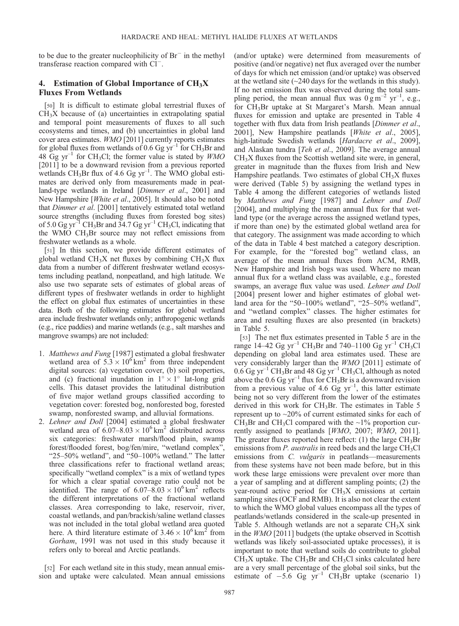to be due to the greater nucleophilicity of  $Br^-$  in the methyl transferase reaction compared with  $Cl^-$ .

## 4. Estimation of Global Importance of  $\text{CH}_3X$ Fluxes From Wetlands

[50] It is difficult to estimate global terrestrial fluxes of  $CH<sub>3</sub>X$  because of (a) uncertainties in extrapolating spatial and temporal point measurements of fluxes to all such ecosystems and times, and (b) uncertainties in global land cover area estimates. WMO [2011] currently reports estimates for global fluxes from wetlands of 0.6 Gg  $yr^{-1}$  for CH<sub>3</sub>Br and 48 Gg yr<sup>-1</sup> for CH<sub>3</sub>Cl; the former value is stated by  $WMO$ [2011] to be a downward revision from a previous reported wetlands  $CH_3Br$  flux of 4.6 Gg  $yr^{-1}$ . The WMO global estimates are derived only from measurements made in peatland-type wetlands in Ireland [Dimmer et al., 2001] and New Hampshire [White et al., 2005]. It should also be noted that Dimmer et al. [2001] tentatively estimated total wetland source strengths (including fluxes from forested bog sites) of 5.0 Gg yr<sup> $^{-1}$ </sup> CH<sub>3</sub>Br and 34.7 Gg yr<sup> $^{-1}$ </sup> CH<sub>3</sub>Cl, indicating that the WMO  $CH<sub>3</sub>Br$  source may not reflect emissions from freshwater wetlands as a whole.

[51] In this section, we provide different estimates of global wetland  $CH_3X$  net fluxes by combining  $CH_3X$  flux data from a number of different freshwater wetland ecosystems including peatland, nonpeatland, and high latitude. We also use two separate sets of estimates of global areas of different types of freshwater wetlands in order to highlight the effect on global flux estimates of uncertainties in these data. Both of the following estimates for global wetland area include freshwater wetlands only; anthropogenic wetlands (e.g., rice paddies) and marine wetlands (e.g., salt marshes and mangrove swamps) are not included:

- 1. Matthews and Fung [1987] estimated a global freshwater wetland area of  $5.3 \times 10^6$  km<sup>2</sup> from three independent digital sources: (a) vegetation cover, (b) soil properties, and (c) fractional inundation in  $1^{\circ} \times 1^{\circ}$  lat-long grid cells. This dataset provides the latitudinal distribution of five major wetland groups classified according to vegetation cover: forested bog, nonforested bog, forested swamp, nonforested swamp, and alluvial formations.
- 2. Lehner and Doll [2004] estimated a global freshwater wetland area of  $6.07-8.03 \times 10^6$  km<sup>2</sup> distributed across six categories: freshwater marsh/flood plain, swamp forest/flooded forest, bog/fen/mire, "wetland complex", "25–50% wetland", and "50–100% wetland." The latter three classifications refer to fractional wetland areas; specifically "wetland complex" is a mix of wetland types for which a clear spatial coverage ratio could not be identified. The range of  $6.07-8.03 \times 10^{6}$  km<sup>2</sup> reflects the different interpretations of the fractional wetland classes. Area corresponding to lake, reservoir, river, coastal wetlands, and pan/brackish/saline wetland classes was not included in the total global wetland area quoted here. A third literature estimate of  $3.46 \times 10^6$  km<sup>2</sup> from Gorham, 1991 was not used in this study because it refers only to boreal and Arctic peatlands.

[52] For each wetland site in this study, mean annual emission and uptake were calculated. Mean annual emissions (and/or uptake) were determined from measurements of positive (and/or negative) net flux averaged over the number of days for which net emission (and/or uptake) was observed at the wetland site  $\left(\frac{240}{\text{ days}}\right)$  for the wetlands in this study). If no net emission flux was observed during the total sampling period, the mean annual flux was  $0 \text{ g m}^{-2} \text{ yr}^{-1}$ , e.g., for CH3Br uptake at St Margaret's Marsh. Mean annual fluxes for emission and uptake are presented in Table 4 together with flux data from Irish peatlands [Dimmer et al., 2001], New Hampshire peatlands [White et al., 2005], high-latitude Swedish wetlands [Hardacre et al., 2009], and Alaskan tundra [Teh et al., 2009]. The average annual  $CH<sub>3</sub>X$  fluxes from the Scottish wetland site were, in general, greater in magnitude than the fluxes from Irish and New Hampshire peatlands. Two estimates of global  $CH<sub>3</sub>X$  fluxes were derived (Table 5) by assigning the wetland types in Table 4 among the different categories of wetlands listed by Matthews and Fung [1987] and Lehner and Doll [2004], and multiplying the mean annual flux for that wetland type (or the average across the assigned wetland types, if more than one) by the estimated global wetland area for that category. The assignment was made according to which of the data in Table 4 best matched a category description. For example, for the "forested bog" wetland class, an average of the mean annual fluxes from ACM, RMB, New Hampshire and Irish bogs was used. Where no mean annual flux for a wetland class was available, e.g., forested swamps, an average flux value was used. Lehner and Doll [2004] present lower and higher estimates of global wetland area for the "50–100% wetland", "25–50% wetland", and "wetland complex" classes. The higher estimates for area and resulting fluxes are also presented (in brackets) in Table 5.

[53] The net flux estimates presented in Table 5 are in the range 14–42 Gg yr<sup>-1</sup> CH<sub>3</sub>Br and 740–1100 Gg yr<sup>-1</sup> CH<sub>3</sub>Cl depending on global land area estimates used. These are very considerably larger than the WMO [2011] estimate of 0.6 Gg  $yr^{-1}$  CH<sub>3</sub>Br and 48 Gg  $yr^{-1}$  CH<sub>3</sub>Cl, although as noted above the 0.6 Gg yr<sup>-1</sup> flux for CH<sub>3</sub>Br is a downward revision from a previous value of 4.6  $Gg$  yr<sup>-1</sup>, this latter estimate being not so very different from the lower of the estimates derived in this work for  $CH_3Br$ . The estimates in Table 5 represent up to  $\sim$ 20% of current estimated sinks for each of  $CH_3Br$  and  $CH_3Cl$  compared with the  $\sim$ 1% proportion currently assigned to peatlands [WMO, 2007; WMO, 2011]. The greater fluxes reported here reflect:  $(1)$  the large CH<sub>3</sub>Br emissions from P. *australis* in reed beds and the large  $CH<sub>3</sub>Cl$ emissions from C. *vulgaris* in peatlands—measurements from these systems have not been made before, but in this work these large emissions were prevalent over more than a year of sampling and at different sampling points; (2) the year-round active period for  $CH<sub>3</sub>X$  emissions at certain sampling sites (OCF and RMB). It is also not clear the extent to which the WMO global values encompass all the types of peatlands/wetlands considered in the scale-up presented in Table 5. Although wetlands are not a separate  $CH<sub>3</sub>X$  sink in the WMO [2011] budgets (the uptake observed in Scottish wetlands was likely soil-associated uptake processes), it is important to note that wetland soils do contribute to global  $CH<sub>3</sub>X$  uptake. The  $CH<sub>3</sub>Br$  and  $CH<sub>3</sub>Cl$  sinks calculated here are a very small percentage of the global soil sinks, but the estimate of  $-5.6$  Gg yr<sup>-1</sup> CH<sub>3</sub>Br uptake (scenario 1)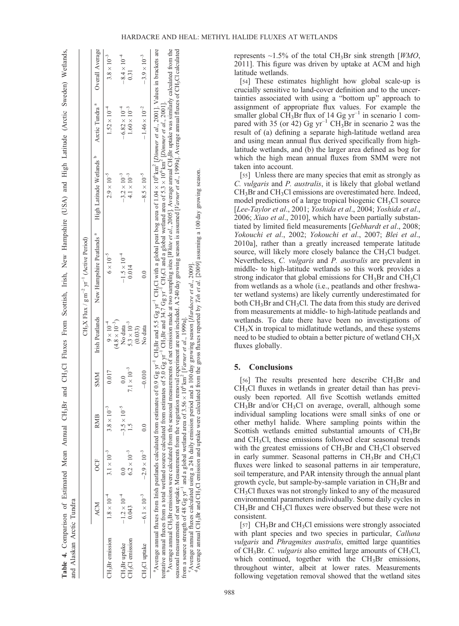|                                   |                                                                                    |                       |                       |                    |                                            | CH <sub>3</sub> X Flux / $g m^{-2} yr^{-1}$ (Active Period)                                                                                                                                                                                                                                                                                                                                                                                                                                                                                                                                                                                                                                                                                  |                                     |                            |                       |
|-----------------------------------|------------------------------------------------------------------------------------|-----------------------|-----------------------|--------------------|--------------------------------------------|----------------------------------------------------------------------------------------------------------------------------------------------------------------------------------------------------------------------------------------------------------------------------------------------------------------------------------------------------------------------------------------------------------------------------------------------------------------------------------------------------------------------------------------------------------------------------------------------------------------------------------------------------------------------------------------------------------------------------------------------|-------------------------------------|----------------------------|-----------------------|
|                                   | ACM                                                                                | <b>CH</b>             | <b>RMB</b>            | <b>NINS</b>        | Irish Peatlands                            | New Hampshire Peatlands <sup>a</sup>                                                                                                                                                                                                                                                                                                                                                                                                                                                                                                                                                                                                                                                                                                         | High Latitude Wetlands <sup>b</sup> | Arctic Tundra <sup>a</sup> | Overall Average       |
| <b>H</b> <sub>3</sub> Br emission | $1.8 \times 10^{-4}$                                                               | $3.1 \times 10^{-3}$  | $3.8 \times 10^{-3}$  | 0.017              | $(4.8\times10^{-3})$<br>$9 \times 10^{-4}$ | $6 \times 10^{-5}$                                                                                                                                                                                                                                                                                                                                                                                                                                                                                                                                                                                                                                                                                                                           | $2.9 \times 10^{-5}$                | $1.52 \times 10^{-4}$      | $3.8 \times 10^{-3}$  |
| CH <sub>3</sub> Br uptake         | $-1.2 \times 10^{-4}$                                                              |                       | $-3.5 \times 10^{-5}$ | 0.0                | No data                                    | $-1.5 \times 10^{-4}$                                                                                                                                                                                                                                                                                                                                                                                                                                                                                                                                                                                                                                                                                                                        | $-3.2 \times 10^{-3}$               | $-6.82 \times 10^{-4}$     | $-8.4 \times 10^{-4}$ |
| CH <sub>3</sub> Cl emission       | 0.043                                                                              | $6.2 \times 10^{-3}$  | ن<br>د                | $7.1\times10^{-3}$ | $5.3 \times 10^{-3}$                       | 0.014                                                                                                                                                                                                                                                                                                                                                                                                                                                                                                                                                                                                                                                                                                                                        | $4.1\times10^{-3}$                  | $1.60\times10^{-3}$        | 0.31                  |
| <b>H</b> <sub>3</sub> Cl uptake   | $-6.1\times10^{-3}$                                                                | $-2.9 \times 10^{-3}$ | $\frac{0}{2}$         | $-0.010$           | No data<br>(0.033)                         | 0.0                                                                                                                                                                                                                                                                                                                                                                                                                                                                                                                                                                                                                                                                                                                                          | $-8.5 \times 10^{-5}$               | $-1.46 \times 10^{-2}$     | $-3.9\times10^{-3}$   |
|                                   | <sup>3</sup> A verage annual fluxes from Irish peatlands calculated from estimates |                       |                       |                    |                                            | "Average amual CH <sub>3</sub> Br emissions were calculated from the seasonal measurements of net emission made at two sampling sites [ <i>White et al.</i> , 2005]. Average annual CH <sub>3</sub> Br uptake was similarly calculated from the<br>of 0.9 Ge yr <sup>-1</sup> CH <sub>3</sub> Br and 5.5 Ge yr <sup>-1</sup> CH <sub>3</sub> Cl with a global peat bog area of 1.04 × 10 <sup>6</sup> km <sup>2</sup> [Dimmer et al., 2001]. Values in brackets are<br>tentative annual fluxes from a total wetland source calculated from estimates of 5.0 Gg yr <sup>-1</sup> CH <sub>3</sub> Br and 34.7 Gg yr <sup>-1</sup> CH <sub>3</sub> Cl and a global wetland area of 5.3 × 10 <sup>6</sup> km <sup>2</sup> [Dimmer et al., 2001]. |                                     |                            |                       |
|                                   |                                                                                    |                       |                       |                    |                                            | seasonal measurements of net uptake. Measurements from the vegetation removal experiment are not included. A 240 day growing season is assumed [Varner et al., 1999a]. Average annual fluxes of CH <sub>3</sub> Cl calculated                                                                                                                                                                                                                                                                                                                                                                                                                                                                                                                |                                     |                            |                       |

Average amual CH<sub>3</sub>Br and CH<sub>3</sub>Cl emission and uptake were calculated from the gross fluxes reported by Teh et al. [2009] assuming a 100 day growing season. from a source strength of 48 Gg yr<sup>-1</sup> and a global wetland area of 3.56 × 10<sup>6</sup> km<sup>2</sup> [*Varner et al.*, 1999a].<br><sup>6</sup>Average annual fluxes calculated using a 24 h daily emission period and a 100 day growing season [*Hardac* и., ŭ assumed [Varner season is surword *kep* 2009]. 'Average annual fluxes calculated using a 24 h daily emission period and a 100 day growing season [Hardacre et al., seasonal measurements of her uptake. Measurements from the vegetation removal experiment are not multiman a source strength of 48 Gg yr<sup>-1</sup> and a global wetland area of 3.56 x 10° km<sup>2</sup> [Varner et al., 1999a]

represents  $\sim$ 1.5% of the total CH<sub>3</sub>Br sink strength [WMO, 2011]. This figure was driven by uptake at ACM and high latitude wetlands.

[54] These estimates highlight how global scale-up is crucially sensitive to land-cover definition and to the uncertainties associated with using a "bottom up" approach to assignment of appropriate flux values. For example the smaller global  $CH_3Br$  flux of 14 Gg yr<sup>-1</sup> in scenario 1 compared with 35 (or 42) Gg  $yr^{-1}$  CH<sub>3</sub>Br in scenario 2 was the result of (a) defining a separate high-latitude wetland area and using mean annual flux derived specifically from highlatitude wetlands, and (b) the larger area defined as bog for which the high mean annual fluxes from SMM were not taken into account.

[55] Unless there are many species that emit as strongly as C. vulgaris and P. australis, it is likely that global wetland CH3Br and CH3Cl emissions are overestimated here. Indeed, model predictions of a large tropical biogenic  $CH<sub>3</sub>Cl$  source [Lee-Taylor et al., 2001; Yoshida et al., 2004; Yoshida et al., 2006; Xiao et al., 2010], which have been partially substantiated by limited field measurements [Gebhardt et al., 2008; Yokouchi et al., 2002; Yokouchi et al., 2007; Blei et al., 2010a], rather than a greatly increased temperate latitude source, will likely more closely balance the  $CH<sub>3</sub>Cl$  budget. Nevertheless, C. vulgaris and P. australis are prevalent in middle- to high-latitude wetlands so this work provides a strong indicator that global emissions for  $CH<sub>3</sub>Br$  and  $CH<sub>3</sub>Cl$ from wetlands as a whole (i.e., peatlands and other freshwater wetland systems) are likely currently underestimated for both  $CH_3Br$  and  $CH_3Cl$ . The data from this study are derived from measurements at middle- to high-latitude peatlands and wetlands. To date there have been no investigations of  $CH<sub>3</sub>X$  in tropical to midlatitude wetlands, and these systems need to be studied to obtain a better picture of wetland  $CH_3X$ fluxes globally.

## 5. Conclusions

[56] The results presented here describe  $CH_3Br$  and  $CH<sub>3</sub>Cl$  fluxes in wetlands in greater detail than has previously been reported. All five Scottish wetlands emitted  $CH<sub>3</sub>Br$  and/or  $CH<sub>3</sub>Cl$  on average, overall, although some individual sampling locations were small sinks of one or other methyl halide. Where sampling points within the Scottish wetlands emitted substantial amounts of  $CH<sub>3</sub>Br$ and CH3Cl, these emissions followed clear seasonal trends with the greatest emissions of  $CH<sub>3</sub>Br$  and  $CH<sub>3</sub>Cl$  observed in early summer. Seasonal patterns in  $CH<sub>3</sub>Br$  and  $CH<sub>3</sub>Cl$ fluxes were linked to seasonal patterns in air temperature, soil temperature, and PAR intensity through the annual plant growth cycle, but sample-by-sample variation in  $CH<sub>3</sub>Br$  and CH3Cl fluxes was not strongly linked to any of the measured environmental parameters individually. Some daily cycles in  $CH<sub>3</sub>Br$  and  $CH<sub>3</sub>Cl$  fluxes were observed but these were not consistent.

[57] CH<sub>3</sub>Br and CH<sub>3</sub>Cl emissions were strongly associated with plant species and two species in particular, *Calluna* vulgaris and Phragmites australis, emitted large quantities of  $CH_3Br$ . C. *vulgaris* also emitted large amounts of  $CH_3Cl$ , which continued, together with the  $CH<sub>3</sub>Br$  emissions, throughout winter, albeit at lower rates. Measurements following vegetation removal showed that the wetland sites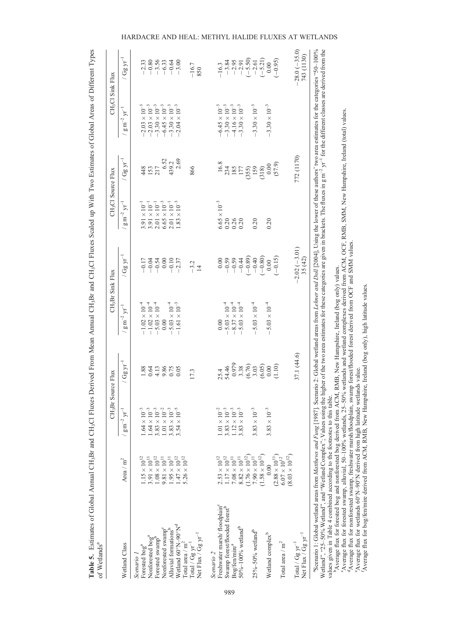|                                                                                                                                              | <b>H<sub>3</sub>Cl Sink Flux</b>   |
|----------------------------------------------------------------------------------------------------------------------------------------------|------------------------------------|
|                                                                                                                                              | <b>H<sub>3</sub>Cl</b> Source Flux |
| ss Derived From Mean Annual CH <sub>3</sub> Br and CH <sub>3</sub> Cl Fluxes Scaled up With Two Estimates of Global Areas of Different Types | CH <sub>3</sub> Br Sink Flux       |
| able 5. Estimates of Global Annual CH <sub>3</sub> Br and CH <sub>3</sub> Cl Fluxes<br>G Wetlan <sup>2</sup>                                 | source Fluy                        |

|                                                                                                                                                                                                                                         |                                                                                                                        | CH <sub>3</sub> Br                          | Source Flux                                                                                                          | CH <sub>3</sub> Br Sink Flux                     |                                     | CH <sub>3</sub> Cl Source Flux              |                                                     |                                                  | CH <sub>3</sub> Cl Sink Flux             |
|-----------------------------------------------------------------------------------------------------------------------------------------------------------------------------------------------------------------------------------------|------------------------------------------------------------------------------------------------------------------------|---------------------------------------------|----------------------------------------------------------------------------------------------------------------------|--------------------------------------------------|-------------------------------------|---------------------------------------------|-----------------------------------------------------|--------------------------------------------------|------------------------------------------|
| Wetland Class                                                                                                                                                                                                                           | Area / $\rm{m}^2$                                                                                                      | / $\mathrm{g\,m}^{-2}$ $\mathrm{yr}^{-1}$   | / Gg $\mathrm{yr}^{-1}$                                                                                              | $\mathrm{g\,m}^{-2}\,\mathrm{yr}^{-1}$           | / Gg $\mathrm{yr}^{-1}$             | $\rm{g\,m}^{-2}\,yr^{-1}$                   | / Gg $\mathrm{yr}^{-1}$                             | $\mathrm{g\,m}^{-2}$ $\mathrm{yr}^{-1}$          | / Gg $yr^{-1}$                           |
| Scenario 1                                                                                                                                                                                                                              |                                                                                                                        |                                             |                                                                                                                      |                                                  |                                     |                                             |                                                     |                                                  |                                          |
| Forested bog <sup>a</sup>                                                                                                                                                                                                               | $1.15\times10^{12}$                                                                                                    | $1.64\times10^{-3}$                         | 1884186109<br>1049000                                                                                                | $-1.02 \times 10^{-4}$                           | $-0.17$                             | $3.91 \times 10^{-1}$                       | 448                                                 | $-2.03 \times 10^{-3}$                           | $\frac{-2.33}{-0.80}$                    |
| Nonforested bog <sup>a</sup>                                                                                                                                                                                                            | $3.91\times10^{11}$                                                                                                    | $1.64\times10^{-3}$                         |                                                                                                                      | $-1.02 \times 10^{-4}$                           | $-0.04$                             | $3.91 \times 10^{-1}$                       | 153<br>217                                          | $-2.03 \times 10^{-3}$                           |                                          |
| Forested swamp                                                                                                                                                                                                                          |                                                                                                                        | $3.83\times10^{-3}$                         |                                                                                                                      | $-5.03 \times 10^{-4}$                           |                                     | $2.01 \times 10^{-1}$                       |                                                     | $-3.30 \times 10^{-3}$                           |                                          |
| Nonforested swamp <sup>c</sup>                                                                                                                                                                                                          |                                                                                                                        | $1.01\times10^{-2}$                         |                                                                                                                      | 0.00                                             |                                     | $6.65 \times 10^{-3}$                       |                                                     | $-6.45 \times 10^{-3}$                           |                                          |
| Alluvial formations <sup>b</sup>                                                                                                                                                                                                        | $\begin{array}{c} 1.08 \times 10^{12}\\ 9.81 \times 10^{11}\\ 1.95 \times 10^{11}\\ 1.47 \times 10^{12}\\ \end{array}$ | $3.83\times10^{-3}$                         |                                                                                                                      | $-5.03 \times 10^{-4}$                           | $-0.54$<br>$-0.00$<br>$-2.37$       | $2.01 \times 10^{-1}$ $1.83 \times 10^{-3}$ | $6.52$<br>439.2<br>2.69                             | $-3.30 \times 10^{-3}$                           | $-3.56$<br>$-6.33$<br>$-1.30$<br>$-3.00$ |
| Wetland 60°N-90°N <sup>d</sup><br>Total area $/m2$                                                                                                                                                                                      | $5.26\times10^{12}$                                                                                                    | $3.54\times10^{-5}$                         |                                                                                                                      | $-1.61\times10^{-3}$                             |                                     |                                             |                                                     | $-2.04 \times 10^{-3}$                           |                                          |
| Net Flux / $Gg yr^{-1}$<br>Total / $Gg yr^{-1}$                                                                                                                                                                                         |                                                                                                                        |                                             | 17.3                                                                                                                 |                                                  | $-3.2$<br>$\overline{1}$            |                                             | 866                                                 |                                                  | $-16.7$<br>850                           |
| Scenario 2                                                                                                                                                                                                                              |                                                                                                                        |                                             |                                                                                                                      |                                                  |                                     |                                             |                                                     |                                                  |                                          |
| Freshwater marsh/ floodplain <sup>c</sup>                                                                                                                                                                                               | $2.53\times10^{12}$                                                                                                    | $1.01\times10^{-2}$                         |                                                                                                                      | 0.00                                             | 0.00                                | $6.65\times10^{-3}$                         |                                                     | $-6.45 \times 10^{-3}$                           | $-16.3$                                  |
| Swamp forest/flooded forest <sup>b</sup>                                                                                                                                                                                                | $1.17\times10^{12}$                                                                                                    | $3.83 \times 10^{-3}$ $1.12 \times 10^{-3}$ |                                                                                                                      | $-5.03 \times 10^{-4}$<br>$-8.37 \times 10^{-4}$ | $-0.59$<br>$-0.59$<br>$-0.44$       | 0.380                                       |                                                     | $-3.30 \times 10^{-3}$<br>$-4.16 \times 10^{-3}$ | $-3.84$                                  |
| Bog/fen/mire <sup>a</sup>                                                                                                                                                                                                               | $7.08 \times 10^{11}$                                                                                                  |                                             |                                                                                                                      |                                                  |                                     |                                             |                                                     |                                                  | $-2.95$                                  |
| $50\% - 100\%$ wetland <sup>b</sup>                                                                                                                                                                                                     | $8.82\times10^{11}$                                                                                                    | $3.83\times10^{-3}$                         |                                                                                                                      | $5.03 \times 10^{-4}$                            |                                     |                                             |                                                     | $-3.30\times10^{-3}$                             | $-2.91$                                  |
|                                                                                                                                                                                                                                         | $(1.76 \times 10^{12})$                                                                                                |                                             |                                                                                                                      |                                                  |                                     |                                             |                                                     |                                                  | $(-5.50)$                                |
| $25\% - 50\%$ wetland <sup>b</sup>                                                                                                                                                                                                      | $7.90\times10^{11}$                                                                                                    | $3.83\times10^{-3}$                         | $25.4$<br>$25.9$<br>$35.8$<br>$35.8$<br>$35.8$<br>$35.8$<br>$35.8$<br>$35.8$<br>$35.8$<br>$35.8$<br>$35.0$<br>$35.0$ | $-5.03 \times 10^{-4}$                           | $(-0.89)$<br>$(-0.40)$<br>$(-0.80)$ | 0.20                                        | $16.8$<br>$234$<br>$185$<br>$177$<br>$350$<br>$159$ | $-3.30 \times 10^{-3}$                           | $-2.61$                                  |
|                                                                                                                                                                                                                                         | $(1.58 \times 10^{12})$                                                                                                |                                             |                                                                                                                      |                                                  |                                     |                                             | (318)                                               |                                                  | $(-5.21)$                                |
| Wetland complex <sup>b</sup>                                                                                                                                                                                                            | 0.00                                                                                                                   | $3.83\times10^{-3}$                         |                                                                                                                      | $-5.03 \times 10^{-4}$                           | 0.00                                | 0.20                                        | 0.00                                                | $-3.30 \times 10^{-3}$                           | 0.00                                     |
|                                                                                                                                                                                                                                         | $(2.88 \times 10^{11})$                                                                                                |                                             |                                                                                                                      |                                                  | $(-0.15)$                           |                                             | (57.9)                                              |                                                  | $(-0.95)$                                |
| Total area / $\mathrm{m}^2$                                                                                                                                                                                                             | $(8.03 \times 10^{12})$<br>$6.07\times10^{12}$                                                                         |                                             |                                                                                                                      |                                                  |                                     |                                             |                                                     |                                                  |                                          |
| Total / $Gg yr^{-1}$                                                                                                                                                                                                                    |                                                                                                                        |                                             | 37.1 (44.6)                                                                                                          |                                                  |                                     |                                             | 772 (1170)                                          |                                                  | $-28.0(-35)$                             |
| Net Flux / Gg $\rm{yr}^{-1}$                                                                                                                                                                                                            |                                                                                                                        |                                             |                                                                                                                      |                                                  | $-2.02 (-3.01)$<br>35 (42)          |                                             |                                                     |                                                  | 743 (1130)                               |
| "Scenario 1: Global wetland areas from <i>Matthews and Fung</i> [1987]. Scenario 2: Global wetland areas from <i>Lehner and Doll</i> [2004], Using the lower of these authors' two area estimates for the categories "50-100" Wetland", |                                                                                                                        |                                             |                                                                                                                      |                                                  |                                     |                                             |                                                     |                                                  |                                          |
| values given in Table 4 combined according to the footnotes to this table                                                                                                                                                               |                                                                                                                        |                                             |                                                                                                                      |                                                  |                                     |                                             |                                                     |                                                  |                                          |

" Average flux for forested bog and nonforested bog derived from ACM, RMB, New Hampshire, Ireland (bog only) values.<br>"Average flux for forested swamp, alluvial, 50–100% weltands, 25–50% wetlands and welland complexes deriv values given in Table 4 combined according to the footmores to this table.<br><sup>b</sup>Average flux for forested bog and nonforested bog derived from ACM, RMB, New Hampshire, Ireland (bog only) values.<br><sup>d</sup>Average flux for forested

 $\mathrm{yr}^{-1}$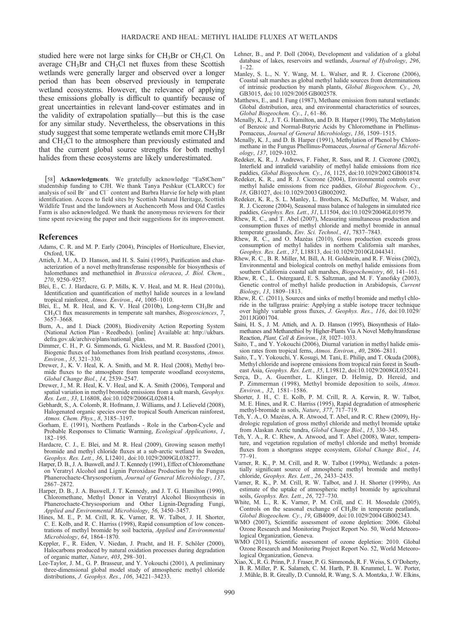studied here were not large sinks for  $CH_3Br$  or  $CH_3Cl$ . On average  $CH_3Br$  and  $CH_3Cl$  net fluxes from these Scottish wetlands were generally larger and observed over a longer period than has been observed previously in temperate wetland ecosystems. However, the relevance of applying these emissions globally is difficult to quantify because of great uncertainties in relevant land-cover estimates and in the validity of extrapolation spatially—but this is the case for any similar study. Nevertheless, the observations in this study suggest that some temperate wetlands emit more  $CH<sub>3</sub>Br$ and CH<sub>3</sub>Cl to the atmosphere than previously estimated and that the current global source strengths for both methyl halides from these ecosystems are likely underestimated.

[58] Acknowledgments. We gratefully acknowledge "EaStChem" studentship funding to CJH. We thank Tanya Peshkur (CLARCC) for analysis of soil  $Br$ <sup> $-$ </sup> and  $Cl$ <sup> $-$ </sup> content and Barbra Harvie for help with plant identification. Access to field sites by Scottish Natural Heritage, Scottish Wildlife Trust and the landowners at Auchencorth Moss and Old Castles Farm is also acknowledged. We thank the anonymous reviewers for their time spent reviewing the paper and their suggestions for its improvement.

#### References

- Adams, C. R. and M. P. Early (2004), Principles of Horticulture, Elsevier, Oxford, UK.
- Attieh, J. M., A. D. Hanson, and H. S. Saini (1995), Purification and characterization of a novel methyltransferase responsible for biosynthesis of halomethanes and methanethiol in Brassica oleracea, J. Biol. Chem., 270, 9250–9257.
- Blei, E., C. J. Hardacre, G. P. Mills, K. V. Heal, and M. R. Heal (2010a), Identification and quantification of methyl halide sources in a lowland tropical rainforest, Atmos. Environ., 44, 1005–1010.
- Blei, E., M. R. Heal, and K. V. Heal (2010b), Long-term CH<sub>3</sub>Br and CH3Cl flux measurements in temperate salt marshes, Biogeosciences, 7, 3657–3668.
- Burn, A., and I. Diack (2008), Biodiversity Action Reporting System (National Action Plan - Reedbeds). [online] Available at: [http://ukbars.](http://ukbars.defra.gov.uk/archive/plans/national_plan) [defra.gov.uk/archive/plans/national\\_plan](http://ukbars.defra.gov.uk/archive/plans/national_plan).
- Dimmer, C. H., P. G. Simmonds, G. Nickless, and M. R. Bassford (2001), Biogenic fluxes of halomethanes from Irish peatland ecosystems, Atmos. Environ., 35, 321–330.
- Drewer, J., K. V. Heal, K. A. Smith, and M. R. Heal (2008), Methyl bromide fluxes to the atmosphere from temperate woodland ecosystems, Global Change Biol., 14, 2539–2547.
- Drewer, J., M. R. Heal, K. V. Heal, and K. A. Smith (2006), Temporal and spatial variation in methyl bromide emissions from a salt marsh, Geophys. Res. Lett., 33, L16808, doi:10.1029/2006GL026814.
- Gebhardt, S., A. Colomb, R. Hofmann, J. Williams, and J. Lelieveld (2008), Halogenated organic species over the tropical South American rainforest, Atmos. Chem. Phys., 8, 3185–3197.
- Gorham, E. (1991), Northern Peatlands Role in the Carbon-Cycle and Probable Responses to Climatic Warming, Ecological Applications, 1, 182–195.
- Hardacre, C. J., E. Blei, and M. R. Heal (2009), Growing season methyl bromide and methyl chloride fluxes at a sub-arctic wetland in Sweden, Geophys. Res. Lett., 36, L12401, doi:10.1029/2009GL038277.
- Harper, D. B., J. A. Buswell, and J. T. Kennedy (1991), Effect of Chloromethane on Veratryl Alcohol and Lignin Peroxidase Production by the Fungus Phanerochaete-Chrysosporium, Journal of General Microbiology, 137, 2867–2872.
- Harper, D. B., J. A. Buswell, J. T. Kennedy, and J. T. G. Hamilton (1990), Chloromethane, Methyl Donor in Veratryl Alcohol Biosynthesis in Phanerochaete-Chrysosporium and Other Lignin-Degrading Fungi, Applied and Environmental Microbiology, 56, 3450–3457.
- Hines, M. E., P. M. Crill, R. K. Varner, R. W. Talbot, J. H. Shorter, C. E. Kolb, and R. C. Harriss (1998), Rapid consumption of low concentrations of methyl bromide by soil bacteria, Applied and Environmental Microbiology, 64, 1864–1870.
- Keppler, F., R. Eiden, V. Niedan, J. Pracht, and H. F. Schöler (2000), Halocarbons produced by natural oxidation processes during degradation of organic matter, Nature, 403, 298–301.
- Lee-Taylor, J. M., G. P. Brasseur, and Y. Yokouchi (2001), A preliminary three-dimensional global model study of atmospheric methyl chloride distributions, J. Geophys. Res., 106, 34221–34233.
- Lehner, B., and P. Doll (2004), Development and validation of a global database of lakes, reservoirs and wetlands, Journal of Hydrology, 296, 1–22.
- Manley, S. L., N. Y. Wang, M. L. Walser, and R. J. Cicerone (2006), Coastal salt marshes as global methyl halide sources from determinations of intrinsic production by marsh plants, Global Biogeochem. Cy., 20, GB3015, doi:10.1029/2005 GB002578.
- Matthews, E., and I. Fung (1987), Methane emission from natural wetlands: Global distribution, area, and environmental characteristics of sources, Global Biogeochem. Cy., 1, 61–86.
- Mcnally, K. J., J. T. G. Hamilton, and D. B. Harper (1990), The Methylation of Benzoic and Normal-Butyric Acids by Chloromethane in Phellinus-Pomaceus, Journal of General Microbiology, 136, 1509–1515.
- Mcnally, K. J., and D. B. Harper (1991), Methylation of Phenol by Chloromethane in the Fungus Phellinus-Pomaceus, Journal of General Microbiology, 137, 1029-1032.
- Redeker, K. R., J. Andrews, F. Fisher, R. Sass, and R. J. Cicerone (2002), Interfield and intrafield variability of methyl halide emissions from rice paddies, Global Biogeochem. Cy., 16, 1125, doi:10.1029/2002 GB001874.
- Redeker, K. R., and R. J. Cicerone (2004), Environmental controls over methyl halide emissions from rice paddies, Global Biogeochem. Cy., 18, GB1027, doi:10.1029/2003 GB002092.
- Redeker, K. R., S. L. Manley, L. Brothers, K. McDuffee, M. Walser, and R. J. Cicerone (2004), Seasonal mass balance of halogens in simulated rice paddies, Geophys. Res. Lett., 31, L11504, doi:10.1029/2004GL019579.
- Rhew, R. C., and T. Abel (2007), Measuring simultaneous production and consumption fluxes of methyl chloride and methyl bromide in annual temperate grasslands, Env. Sci. Technol., 41, 7837-7843.
- Rhew, R. C., and O. Mazéas (2010), Gross production exceeds gross consumption of methyl halides in northern California salt marshes, Geophys. Res. Lett., 37, L18813, doi:10.1029/2010GL044341.
- Rhew, R. C., B. R. Miller, M. Bill, A. H. Goldstein, and R. F. Weiss (2002), Environmental and biological controls on methyl halide emissions from southern California coastal salt marshes, Biogeochemistry, 60, 141-161.
- Rhew, R. C., L. Ostergaard, E. S. Saltzman, and M. F. Yanofsky (2003), Genetic control of methyl halide production in Arabidopsis, Current Biology, 13, 1809–1813.
- Rhew, R. C. (2011), Sources and sinks of methyl bromide and methyl chloride in the tallgrass prairie: Applying a stable isotope tracer technique over highly variable gross fluxes, J. Geophys. Res., 116, doi:10.1029/ 2011JG001704.
- Saini, H. S., J. M. Attieh, and A. D. Hanson (1995), Biosynthesis of Halomethanes and Methanethiol by Higher-Plants Via A Novel Methyltransferase Reaction, Plant, Cell & Environ., 18, 1027-1033.
- Saito, T., and Y. Yokouchi (2006), Diurnal variation in methyl halide emission rates from tropical ferns, Atmos. Environ., 40, 2806–2811.
- Saito, T., Y. Yokouchi, Y. Kosugi, M. Tani, E. Philip, and T. Okuda (2008), Methyl chloride and isoprene emissions from tropical rain forest in Southeast Asia, Geophys. Res. Lett., 35, L19812, doi:10.1029/2008GL035241.
- Serça, D., A. Guenther, L. Klinger, D. Helmig, D. Hereid, and P. Zimmerman (1998), Methyl bromide deposition to soils, Atmos. Environ., 32, 1581–1586.
- Shorter, J. H., C. E. Kolb, P. M. Crill, R. A. Kerwin, R. W. Talbot, M. E. Hines, and R. C. Harriss (1995), Rapid degradation of atmospheric methyl-bromide in soils, Nature, 377, 717–719.
- Teh, Y. A., O. Mazéas, A. R. Atwood, T. Abel, and R. C. Rhew (2009), Hydrologic regulation of gross methyl chloride and methyl bromide uptake from Alaskan Arctic tundra, Global Change Biol., 15, 330–345.
- Teh, Y. A., R. C. Rhew, A. Atwood, and T. Abel (2008), Water, temperature, and vegetation regulation of methyl chloride and methyl bromide fluxes from a shortgrass steppe ecosystem, Global Change Biol., 14, 77–91.
- Varner, R. K., P. M. Crill, and R. W. Talbot (1999a), Wetlands: a potentially significant source of atmospheric methyl bromide and methyl chloride, Geophys. Res. Lett., 26, 2433–2435.
- Varner, R. K., P. M. Crill, R. W. Talbot, and J. H. Shorter (1999b), An estimate of the uptake of atmospheric methyl bromide by agricultural soils, Geophys. Res. Lett., 26, 727–730.
- White, M. L., R. K. Varner, P. M. Crill, and C. H. Mosedale (2005), Controls on the seasonal exchange of CH<sub>3</sub>Br in temperate peatlands, Global Biogeochem. Cy., 19, GB4009, doi:10.1029/2004 GB002343.
- WMO (2007), Scientific assessment of ozone depletion: 2006. Global Ozone Research and Monitoring Project Report No. 50, World Meteorological Organization, Geneva.
- WMO (2011), Scientific assessment of ozone depletion: 2010. Global Ozone Research and Monitoring Project Report No. 52, World Meteorological Organization, Geneva.
- Xiao, X., R. G. Prinn, P. J. Fraser, P. G. Simmonds, R. F. Weiss, S. O'Doherty, B. R. Miller, P. K. Salameh, C. M. Harth, P. B. Krummel, L. W. Porter, J. Mühle, B. R. Greally, D. Cunnold, R. Wang, S. A. Montzka, J. W. Elkins,